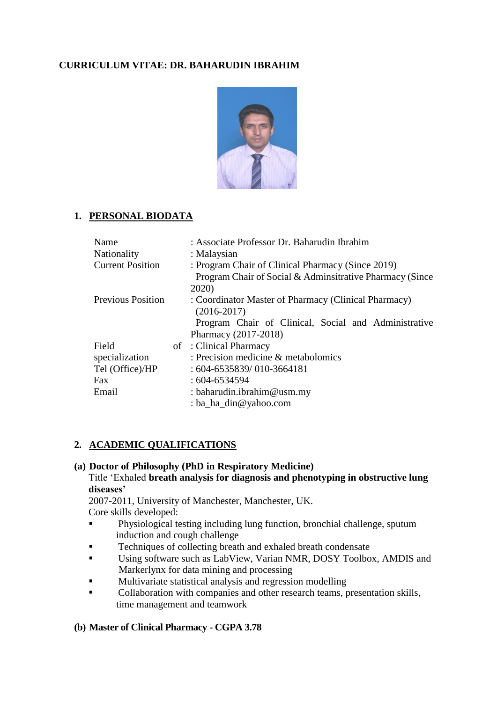# **CURRICULUM VITAE: DR. BAHARUDIN IBRAHIM**



# **1. PERSONAL BIODATA**

| Name                     | : Associate Professor Dr. Baharudin Ibrahim             |
|--------------------------|---------------------------------------------------------|
| Nationality              | : Malaysian                                             |
| <b>Current Position</b>  | : Program Chair of Clinical Pharmacy (Since 2019)       |
|                          | Program Chair of Social & Adminstrative Pharmacy (Since |
|                          | 2020)                                                   |
| <b>Previous Position</b> | : Coordinator Master of Pharmacy (Clinical Pharmacy)    |
|                          | $(2016 - 2017)$                                         |
|                          | Program Chair of Clinical, Social and Administrative    |
|                          | Pharmacy (2017-2018)                                    |
| Field                    | of: Clinical Pharmacy                                   |
| specialization           | : Precision medicine & metabolomics                     |
| Tel (Office)/HP          | $: 604 - 6535839/010 - 3664181$                         |
| Fax                      | $:604-6534594$                                          |
| Email                    | : baharudin.ibrahim@usm.my                              |
|                          | : ba_ha_din@yahoo.com                                   |

# **2. ACADEMIC QUALIFICATIONS**

**(a) Doctor of Philosophy (PhD in Respiratory Medicine)**  Title 'Exhaled **breath analysis for diagnosis and phenotyping in obstructive lung diseases'**

2007-2011, University of Manchester, Manchester, UK. Core skills developed:

- Physiological testing including lung function, bronchial challenge, sputum induction and cough challenge
- Techniques of collecting breath and exhaled breath condensate
- Using software such as LabView, Varian NMR, DOSY Toolbox, AMDIS and Markerlynx for data mining and processing
- Multivariate statistical analysis and regression modelling
- Collaboration with companies and other research teams, presentation skills, time management and teamwork

# **(b) Master of Clinical Pharmacy - CGPA 3.78**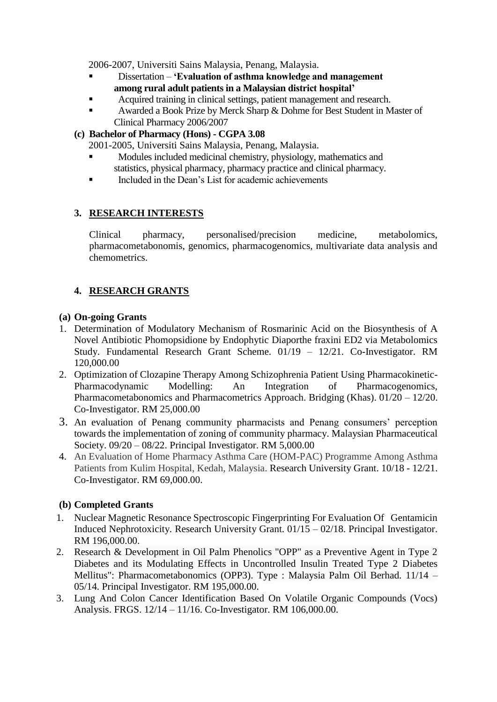2006-2007, Universiti Sains Malaysia, Penang, Malaysia.

- Dissertation **'Evaluation of asthma knowledge and management among rural adult patients in a Malaysian district hospital'**
- Acquired training in clinical settings, patient management and research.
- Awarded a Book Prize by Merck Sharp & Dohme for Best Student in Master of Clinical Pharmacy 2006/2007

## **(c) Bachelor of Pharmacy (Hons) - CGPA 3.08**

2001-2005, Universiti Sains Malaysia, Penang, Malaysia.

- **Modules included medicinal chemistry, physiology, mathematics and** statistics, physical pharmacy, pharmacy practice and clinical pharmacy.
- $\blacksquare$  Included in the Dean's List for academic achievements

# **3. RESEARCH INTERESTS**

Clinical pharmacy, personalised/precision medicine, metabolomics, pharmacometabonomis, genomics, pharmacogenomics, multivariate data analysis and chemometrics.

# **4. RESEARCH GRANTS**

### **(a) On-going Grants**

- 1. Determination of Modulatory Mechanism of Rosmarinic Acid on the Biosynthesis of A Novel Antibiotic Phomopsidione by Endophytic Diaporthe fraxini ED2 via Metabolomics Study. Fundamental Research Grant Scheme. 01/19 – 12/21. Co-Investigator. RM 120,000.00
- 2. Optimization of Clozapine Therapy Among Schizophrenia Patient Using Pharmacokinetic-Pharmacodynamic Modelling: An Integration of Pharmacogenomics, Pharmacometabonomics and Pharmacometrics Approach. Bridging (Khas). 01/20 – 12/20. Co-Investigator. RM 25,000.00
- 3. An evaluation of Penang community pharmacists and Penang consumers' perception towards the implementation of zoning of community pharmacy. Malaysian Pharmaceutical Society. 09/20 – 08/22. Principal Investigator. RM 5,000.00
- 4. An Evaluation of Home Pharmacy Asthma Care (HOM-PAC) Programme Among Asthma Patients from Kulim Hospital, Kedah, Malaysia. Research University Grant. 10/18 - 12/21. Co-Investigator. RM 69,000.00.

## **(b) Completed Grants**

- 1. Nuclear Magnetic Resonance Spectroscopic Fingerprinting For Evaluation Of Gentamicin Induced Nephrotoxicity. Research University Grant. 01/15 – 02/18. Principal Investigator. RM 196,000.00.
- 2. Research & Development in Oil Palm Phenolics "OPP" as a Preventive Agent in Type 2 Diabetes and its Modulating Effects in Uncontrolled Insulin Treated Type 2 Diabetes Mellitus": Pharmacometabonomics (OPP3). Type : Malaysia Palm Oil Berhad. 11/14 – 05/14. Principal Investigator. RM 195,000.00.
- 3. Lung And Colon Cancer Identification Based On Volatile Organic Compounds (Vocs) Analysis. FRGS. 12/14 – 11/16. Co-Investigator. RM 106,000.00.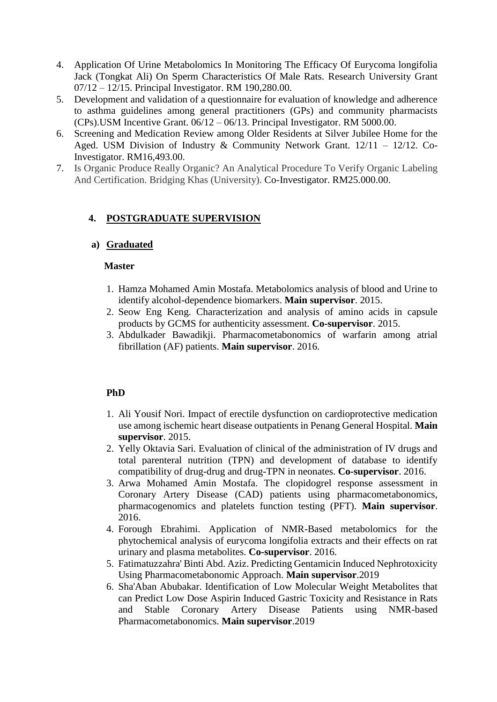- 4. Application Of Urine Metabolomics In Monitoring The Efficacy Of Eurycoma longifolia Jack (Tongkat Ali) On Sperm Characteristics Of Male Rats. Research University Grant 07/12 – 12/15. Principal Investigator. RM 190,280.00.
- 5. Development and validation of a questionnaire for evaluation of knowledge and adherence to asthma guidelines among general practitioners (GPs) and community pharmacists (CPs).USM Incentive Grant. 06/12 – 06/13. Principal Investigator. RM 5000.00.
- 6. Screening and Medication Review among Older Residents at Silver Jubilee Home for the Aged. USM Division of Industry & Community Network Grant. 12/11 – 12/12. Co-Investigator. RM16,493.00.
- 7. Is Organic Produce Really Organic? An Analytical Procedure To Verify Organic Labeling And Certification. Bridging Khas (University). Co-Investigator. RM25.000.00.

# **4. POSTGRADUATE SUPERVISION**

### **a) Graduated**

### **Master**

- 1. Hamza Mohamed Amin Mostafa. Metabolomics analysis of blood and Urine to identify alcohol-dependence biomarkers. **Main supervisor**. 2015.
- 2. Seow Eng Keng. Characterization and analysis of amino acids in capsule products by GCMS for authenticity assessment. **Co-supervisor**. 2015.
- 3. Abdulkader Bawadikji. Pharmacometabonomics of warfarin among atrial fibrillation (AF) patients. **Main supervisor**. 2016.

## **PhD**

- 1. Ali Yousif Nori. Impact of erectile dysfunction on cardioprotective medication use among ischemic heart disease outpatients in Penang General Hospital. **Main supervisor**. 2015.
- 2. Yelly Oktavia Sari. Evaluation of clinical of the administration of IV drugs and total parenteral nutrition (TPN) and development of database to identify compatibility of drug-drug and drug-TPN in neonates. **Co-supervisor**. 2016.
- 3. Arwa Mohamed Amin Mostafa. The clopidogrel response assessment in Coronary Artery Disease (CAD) patients using pharmacometabonomics, pharmacogenomics and platelets function testing (PFT). **Main supervisor**. 2016.
- 4. Forough Ebrahimi. Application of NMR-Based metabolomics for the phytochemical analysis of eurycoma longifolia extracts and their effects on rat urinary and plasma metabolites. **Co-supervisor**. 2016.
- 5. Fatimatuzzahra' Binti Abd. Aziz. Predicting Gentamicin Induced Nephrotoxicity Using Pharmacometabonomic Approach. **Main supervisor**.2019
- 6. Sha'Aban Abubakar. Identification of Low Molecular Weight Metabolites that can Predict Low Dose Aspirin Induced Gastric Toxicity and Resistance in Rats and Stable Coronary Artery Disease Patients using NMR-based Pharmacometabonomics. **Main supervisor**.2019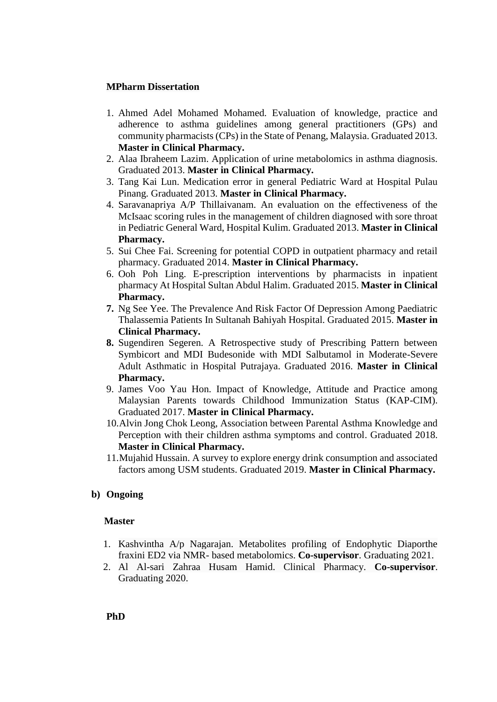### **MPharm Dissertation**

- 1. Ahmed Adel Mohamed Mohamed. Evaluation of knowledge, practice and adherence to asthma guidelines among general practitioners (GPs) and community pharmacists (CPs) in the State of Penang, Malaysia. Graduated 2013. **Master in Clinical Pharmacy.**
- 2. Alaa Ibraheem Lazim. Application of urine metabolomics in asthma diagnosis. Graduated 2013. **Master in Clinical Pharmacy.**
- 3. Tang Kai Lun. Medication error in general Pediatric Ward at Hospital Pulau Pinang. Graduated 2013. **Master in Clinical Pharmacy.**
- 4. Saravanapriya A/P Thillaivanam. An evaluation on the effectiveness of the McIsaac scoring rules in the management of children diagnosed with sore throat in Pediatric General Ward, Hospital Kulim. Graduated 2013. **Master in Clinical Pharmacy.**
- 5. Sui Chee Fai. Screening for potential COPD in outpatient pharmacy and retail pharmacy. Graduated 2014. **Master in Clinical Pharmacy.**
- 6. Ooh Poh Ling. E-prescription interventions by pharmacists in inpatient pharmacy At Hospital Sultan Abdul Halim. Graduated 2015. **Master in Clinical Pharmacy.**
- **7.** Ng See Yee. The Prevalence And Risk Factor Of Depression Among Paediatric Thalassemia Patients In Sultanah Bahiyah Hospital. Graduated 2015. **Master in Clinical Pharmacy.**
- **8.** Sugendiren Segeren. A Retrospective study of Prescribing Pattern between Symbicort and MDI Budesonide with MDI Salbutamol in Moderate-Severe Adult Asthmatic in Hospital Putrajaya. Graduated 2016. **Master in Clinical Pharmacy.**
- 9. James Voo Yau Hon. Impact of Knowledge, Attitude and Practice among Malaysian Parents towards Childhood Immunization Status (KAP-CIM). Graduated 2017. **Master in Clinical Pharmacy.**
- 10[.Alvin Jong Chok Leong, Association between Parental Asthma Knowledge and](https://hcmsv3.usm.my/index.php/C_GraduateSupervision/M212DetailDHCMS/NTA5NjE1OQ==)  [Perception with their children asthma symptoms and control.](https://hcmsv3.usm.my/index.php/C_GraduateSupervision/M212DetailDHCMS/NTA5NjE1OQ==) Graduated 2018. **Master in Clinical Pharmacy.**
- 11.Mujahid Hussain. A survey to explore energy drink consumption and associated factors among USM students. Graduated 2019. **Master in Clinical Pharmacy.**

### **b) Ongoing**

### **Master**

- 1. Kashvintha A/p Nagarajan. Metabolites profiling of Endophytic Diaporthe fraxini ED2 via NMR- based metabolomics. **Co-supervisor**. Graduating 2021.
- 2. Al Al-sari Zahraa Husam Hamid. Clinical Pharmacy. **Co-supervisor**. Graduating 2020.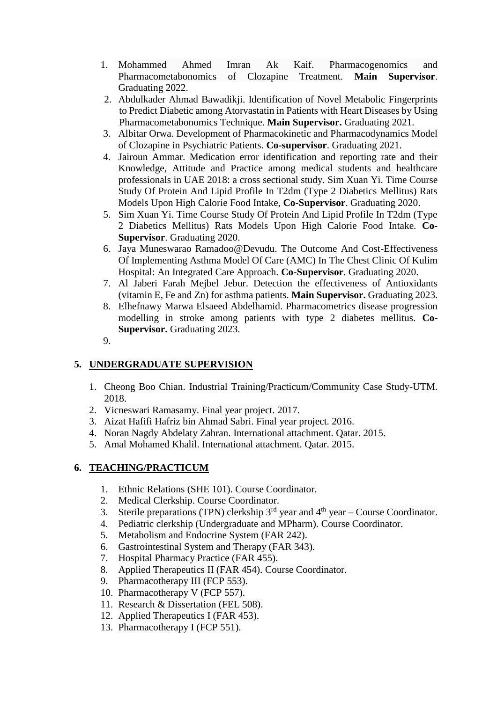- 1. Mohammed Ahmed Imran Ak Kaif. Pharmacogenomics and Pharmacometabonomics of Clozapine Treatment. **Main Supervisor**. Graduating 2022.
- 2. Abdulkader Ahmad Bawadikji. Identification of Novel Metabolic Fingerprints to Predict Diabetic among Atorvastatin in Patients with Heart Diseases by Using Pharmacometabonomics Technique. **Main Supervisor.** Graduating 2021.
- 3. Albitar Orwa. Development of Pharmacokinetic and Pharmacodynamics Model of Clozapine in Psychiatric Patients. **Co-supervisor**. Graduating 2021.
- 4. Jairoun Ammar. Medication error identification and reporting rate and their Knowledge, Attitude and Practice among medical students and healthcare professionals in UAE 2018: a cross sectional study. [Sim Xuan Yi. Time Course](https://hcmsv3.usm.my/index.php/C_GraduateSupervision/M212Detail/ODEwODIxMTQ1OTIz/ODgwNDI3MzU1NTIw/03/Active)  [Study Of Protein And Lipid Profile In T2dm \(Type 2 Diabetics Mellitus\) Rats](https://hcmsv3.usm.my/index.php/C_GraduateSupervision/M212Detail/ODEwODIxMTQ1OTIz/ODgwNDI3MzU1NTIw/03/Active)  Models Upon [High Calorie Food Intake,](https://hcmsv3.usm.my/index.php/C_GraduateSupervision/M212Detail/ODEwODIxMTQ1OTIz/ODgwNDI3MzU1NTIw/03/Active) **Co-Supervisor**. Graduating 2020.
- 5. [Sim Xuan Yi. Time Course Study Of Protein And Lipid Profile In T2dm \(Type](https://hcmsv3.usm.my/index.php/C_GraduateSupervision/M212Detail/ODEwODIxMTQ1OTIz/ODgwNDI3MzU1NTIw/03/Active)  [2 Diabetics Mellitus\) Rats Models Upon High Calorie Food Intake.](https://hcmsv3.usm.my/index.php/C_GraduateSupervision/M212Detail/ODEwODIxMTQ1OTIz/ODgwNDI3MzU1NTIw/03/Active) **Co-[Supervisor](https://hcmsv3.usm.my/index.php/C_GraduateSupervision/M212Detail/ODEwODIxMTQ1OTIz/ODgwNDI3MzU1NTIw/03/Active)**. Graduating 2020.
- 6. [Jaya Muneswarao Ramadoo@Devudu. The Outcome And Cost-Effectiveness](https://hcmsv3.usm.my/index.php/C_GraduateSupervision/M212Detail/ODEwODIxMTQ1OTIz/NzcxMjEzMDI1MTc5/03/Active)  [Of Implementing Asthma Model Of Care \(AMC\) In The Chest Clinic Of Kulim](https://hcmsv3.usm.my/index.php/C_GraduateSupervision/M212Detail/ODEwODIxMTQ1OTIz/NzcxMjEzMDI1MTc5/03/Active)  [Hospital: An Integrated Care Approach.](https://hcmsv3.usm.my/index.php/C_GraduateSupervision/M212Detail/ODEwODIxMTQ1OTIz/NzcxMjEzMDI1MTc5/03/Active) **Co-Supervisor**. Graduating 2020.
- 7. [Al Jaberi Farah Mejbel Jebur. Detection the effectiveness of Antioxidants](https://hcmsv3.usm.my/index.php/C_GraduateSupervision/M212Detail/ODEwODIxMTQ1OTIz/ICAgIEE5OTEyNjQy/03/Active)  [\(vitamin E, Fe and Zn\) for asthma patients.](https://hcmsv3.usm.my/index.php/C_GraduateSupervision/M212Detail/ODEwODIxMTQ1OTIz/ICAgIEE5OTEyNjQy/03/Active) **Main Supervisor.** Graduating 2023.
- 8. [Elhefnawy Marwa Elsaeed Abdelhamid. Pharmacometrics disease progression](https://hcmsv3.usm.my/index.php/C_GraduateSupervision/M212Detail/ODEwODIxMTQ1OTIz/ICAgQTIwNTE1Njky/03/Active)  [modelling in stroke among patients with type](https://hcmsv3.usm.my/index.php/C_GraduateSupervision/M212Detail/ODEwODIxMTQ1OTIz/ICAgQTIwNTE1Njky/03/Active) 2 diabetes mellitus. **Co-[Supervisor.](https://hcmsv3.usm.my/index.php/C_GraduateSupervision/M212Detail/ODEwODIxMTQ1OTIz/ICAgQTIwNTE1Njky/03/Active)** Graduating 2023.
- 9.

# **5. UNDERGRADUATE SUPERVISION**

- 1. [Cheong Boo Chian.](https://hcmsv3.usm.my/index.php/C_UndergradSupervision/M213Detail/NTA5NjE2Mg==) Industrial Training/Practicum/Community Case Study-UTM. 2018.
- 2. Vicneswari Ramasamy. Final year project. 2017.
- 3. Aizat Hafifi Hafriz bin Ahmad Sabri. Final year project. 2016.
- 4. Noran Nagdy Abdelaty Zahran. International attachment. Qatar. 2015.
- 5. Amal Mohamed Khalil. International attachment. Qatar. 2015.

# **6. TEACHING/PRACTICUM**

- 1. Ethnic Relations (SHE 101). Course Coordinator.
- 2. Medical Clerkship. Course Coordinator.
- 3. Sterile preparations (TPN) clerkship  $3<sup>rd</sup>$  year and  $4<sup>th</sup>$  year Course Coordinator.
- 4. Pediatric clerkship (Undergraduate and MPharm). Course Coordinator.
- 5. Metabolism and Endocrine System (FAR 242).
- 6. Gastrointestinal System and Therapy (FAR 343).
- 7. Hospital Pharmacy Practice (FAR 455).
- 8. Applied Therapeutics II (FAR 454). Course Coordinator.
- 9. Pharmacotherapy III (FCP 553).
- 10. Pharmacotherapy V (FCP 557).
- 11. Research & Dissertation (FEL 508).
- 12. Applied Therapeutics I (FAR 453).
- 13. Pharmacotherapy I (FCP 551).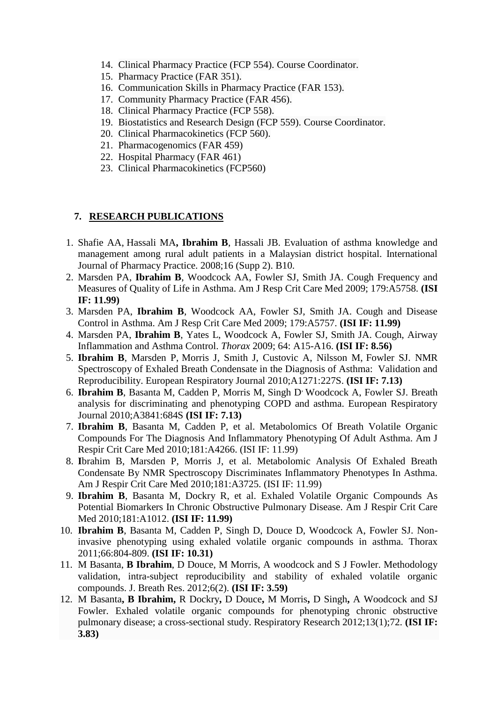- 14. Clinical Pharmacy Practice (FCP 554). Course Coordinator.
- 15. Pharmacy Practice (FAR 351).
- 16. Communication Skills in Pharmacy Practice (FAR 153).
- 17. Community Pharmacy Practice (FAR 456).
- 18. Clinical Pharmacy Practice (FCP 558).
- 19. Biostatistics and Research Design (FCP 559). Course Coordinator.
- 20. Clinical Pharmacokinetics (FCP 560).
- 21. Pharmacogenomics (FAR 459)
- 22. Hospital Pharmacy (FAR 461)
- 23. Clinical Pharmacokinetics (FCP560)

### **7. RESEARCH PUBLICATIONS**

- 1. Shafie AA, Hassali MA**, Ibrahim B**, Hassali JB. Evaluation of asthma knowledge and management among rural adult patients in a Malaysian district hospital. International Journal of Pharmacy Practice. 2008;16 (Supp 2). B10.
- 2. Marsden PA, **Ibrahim B**, Woodcock AA, Fowler SJ, Smith JA. Cough Frequency and Measures of Quality of Life in Asthma. Am J Resp Crit Care Med 2009; 179:A5758. **(ISI IF: 11.99)**
- 3. Marsden PA, **Ibrahim B**, Woodcock AA, Fowler SJ, Smith JA. Cough and Disease Control in Asthma. Am J Resp Crit Care Med 2009; 179:A5757. **(ISI IF: 11.99)**
- 4. Marsden PA, **Ibrahim B**, Yates L, Woodcock A, Fowler SJ, Smith JA. Cough, Airway Inflammation and Asthma Control. *Thorax* 2009; 64: A15-A16. **(ISI IF: 8.56)**
- 5. **Ibrahim B**, Marsden P, Morris J, Smith J, Custovic A, Nilsson M, Fowler SJ. NMR Spectroscopy of Exhaled Breath Condensate in the Diagnosis of Asthma: Validation and Reproducibility. European Respiratory Journal 2010;A1271:227S. **(ISI IF: 7.13)**
- 6. **Ibrahim B**, Basanta M, Cadden P, Morris M, Singh D, Woodcock A, Fowler SJ. Breath analysis for discriminating and phenotyping COPD and asthma. European Respiratory Journal 2010;A3841:684S **(ISI IF: 7.13)**
- 7. **Ibrahim B**, Basanta M, Cadden P, et al. Metabolomics Of Breath Volatile Organic Compounds For The Diagnosis And Inflammatory Phenotyping Of Adult Asthma. Am J Respir Crit Care Med 2010;181:A4266. (ISI IF: 11.99)
- 8. **I**brahim B, Marsden P, Morris J, et al. Metabolomic Analysis Of Exhaled Breath Condensate By NMR Spectroscopy Discriminates Inflammatory Phenotypes In Asthma. Am J Respir Crit Care Med 2010;181:A3725. (ISI IF: 11.99)
- 9. **Ibrahim B**, Basanta M, Dockry R, et al. Exhaled Volatile Organic Compounds As Potential Biomarkers In Chronic Obstructive Pulmonary Disease. Am J Respir Crit Care Med 2010;181:A1012. **(ISI IF: 11.99)**
- 10. **Ibrahim B**, Basanta M, Cadden P, Singh D, Douce D, Woodcock A, Fowler SJ. Noninvasive phenotyping using exhaled volatile organic compounds in asthma. Thorax 2011;66:804-809. **(ISI IF: 10.31)**
- 11. M Basanta, **B Ibrahim**, D Douce, M Morris, A woodcock and S J Fowler. Methodology validation, intra-subject reproducibility and stability of exhaled volatile organic compounds. J. Breath Res. 2012;6(2). **(ISI IF: 3.59)**
- 12. M Basanta**, B Ibrahim,** R Dockry**,** D Douce**,** M Morris**,** D Singh**,** A Woodcock and SJ Fowler. Exhaled volatile organic compounds for phenotyping chronic obstructive pulmonary disease; a cross-sectional study. Respiratory Research 2012;13(1);72. **(ISI IF: 3.83)**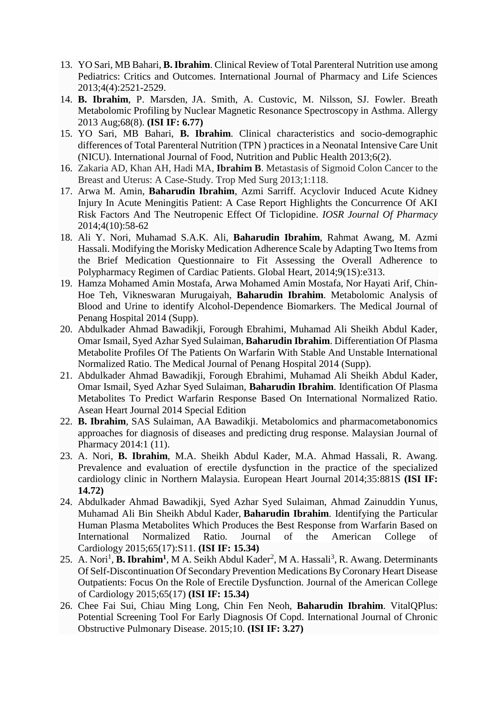- 13. YO Sari, MB Bahari, **B. Ibrahim**. Clinical Review of Total Parenteral Nutrition use among Pediatrics: Critics and Outcomes. International Journal of Pharmacy and Life Sciences 2013;4(4):2521-2529.
- 14. **B. Ibrahim**, P. Marsden, JA. Smith, A. Custovic, M. Nilsson, SJ. Fowler. Breath Metabolomic Profiling by Nuclear Magnetic Resonance Spectroscopy in Asthma. Allergy 2013 Aug;68(8). **(ISI IF: 6.77)**
- 15. YO Sari, MB Bahari, **B. Ibrahim**. Clinical characteristics and socio-demographic differences of Total Parenteral Nutrition (TPN ) practices in a Neonatal Intensive Care Unit (NICU). International Journal of Food, Nutrition and Public Health 2013;6(2).
- 16. Zakaria AD, Khan AH, Hadi MA, **Ibrahim B**. Metastasis of Sigmoid Colon Cancer to the Breast and Uterus: A Case-Study. Trop Med Surg 2013;1:118.
- 17. Arwa M. Amin, **Baharudin Ibrahim**, Azmi Sarriff. Acyclovir Induced Acute Kidney Injury In Acute Meningitis Patient: A Case Report Highlights the Concurrence Of AKI Risk Factors And The Neutropenic Effect Of Ticlopidine. *IOSR Journal Of Pharmacy* 2014;4(10):58-62
- 18. Ali Y. Nori, Muhamad S.A.K. Ali, **Baharudin Ibrahim**, Rahmat Awang, M. Azmi Hassali. Modifying the Morisky Medication Adherence Scale by Adapting Two Items from the Brief Medication Questionnaire to Fit Assessing the Overall Adherence to Polypharmacy Regimen of Cardiac Patients. Global Heart, 2014;9(1S):e313.
- 19. Hamza Mohamed Amin Mostafa, Arwa Mohamed Amin Mostafa, Nor Hayati Arif, Chin-Hoe Teh, Vikneswaran Murugaiyah, **Baharudin Ibrahim**. Metabolomic Analysis of Blood and Urine to identify Alcohol-Dependence Biomarkers. The Medical Journal of Penang Hospital 2014 (Supp).
- 20. Abdulkader Ahmad Bawadikji, Forough Ebrahimi, Muhamad Ali Sheikh Abdul Kader, Omar Ismail, Syed Azhar Syed Sulaiman, **Baharudin Ibrahim**. Differentiation Of Plasma Metabolite Profiles Of The Patients On Warfarin With Stable And Unstable International Normalized Ratio. The Medical Journal of Penang Hospital 2014 (Supp).
- 21. Abdulkader Ahmad Bawadikji, Forough Ebrahimi, Muhamad Ali Sheikh Abdul Kader, Omar Ismail, Syed Azhar Syed Sulaiman, **Baharudin Ibrahim**. Identification Of Plasma Metabolites To Predict Warfarin Response Based On International Normalized Ratio. Asean Heart Journal 2014 Special Edition
- 22. **B. Ibrahim**, SAS Sulaiman, AA Bawadikji. Metabolomics and pharmacometabonomics approaches for diagnosis of diseases and predicting drug response. Malaysian Journal of Pharmacy 2014:1 (11).
- 23. A. Nori, **B. Ibrahim**, M.A. Sheikh Abdul Kader, M.A. Ahmad Hassali, R. Awang. Prevalence and evaluation of erectile dysfunction in the practice of the specialized cardiology clinic in Northern Malaysia. European Heart Journal 2014;35:881S **(ISI IF: 14.72)**
- 24. Abdulkader Ahmad Bawadikji, Syed Azhar Syed Sulaiman, Ahmad Zainuddin Yunus, Muhamad Ali Bin Sheikh Abdul Kader, **Baharudin Ibrahim**. Identifying the Particular Human Plasma Metabolites Which Produces the Best Response from Warfarin Based on International Normalized Ratio*.* Journal of the American College of Cardiology 2015;65(17):S11. **(ISI IF: 15.34)**
- 25. A. Nori<sup>1</sup>, **B. Ibrahim<sup>1</sup>**, M A. Seikh Abdul Kader<sup>2</sup>, M A. Hassali<sup>3</sup>, R. Awang. Determinants Of Self-Discontinuation Of Secondary Prevention Medications By Coronary Heart Disease Outpatients: Focus On the Role of Erectile Dysfunction. Journal of the American College of Cardiology 2015;65(17) **(ISI IF: 15.34)**
- 26. Chee Fai Sui, Chiau Ming Long, Chin Fen Neoh, **Baharudin Ibrahim**. VitalQPlus: Potential Screening Tool For Early Diagnosis Of Copd. International Journal of Chronic Obstructive Pulmonary Disease. 2015;10. **(ISI IF: 3.27)**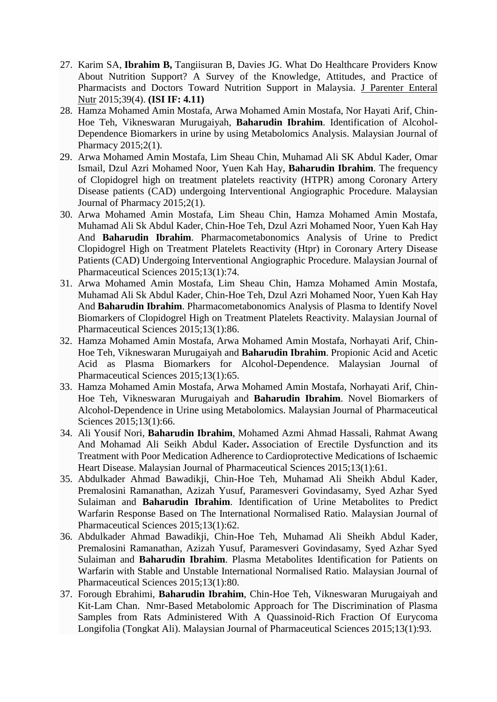- 27. Karim SA, **Ibrahim B,** Tangiisuran B, Davies JG. What Do Healthcare Providers Know About Nutrition Support? A Survey of the Knowledge, Attitudes, and Practice of Pharmacists and Doctors Toward Nutrition Support in Malaysia. [J Parenter Enteral](http://www.ncbi.nlm.nih.gov/pubmed/24590009)  [Nutr](http://www.ncbi.nlm.nih.gov/pubmed/24590009) 2015;39(4). **(ISI IF: 4.11)**
- 28. Hamza Mohamed Amin Mostafa, Arwa Mohamed Amin Mostafa, Nor Hayati Arif, Chin-Hoe Teh, Vikneswaran Murugaiyah, **Baharudin Ibrahim**. Identification of Alcohol-Dependence Biomarkers in urine by using Metabolomics Analysis. Malaysian Journal of Pharmacy 2015;2(1).
- 29. Arwa Mohamed Amin Mostafa, Lim Sheau Chin, Muhamad Ali SK Abdul Kader, Omar Ismail, Dzul Azri Mohamed Noor, Yuen Kah Hay, **Baharudin Ibrahim**. The frequency of Clopidogrel high on treatment platelets reactivity (HTPR) among Coronary Artery Disease patients (CAD) undergoing Interventional Angiographic Procedure. Malaysian Journal of Pharmacy 2015;2(1).
- 30. Arwa Mohamed Amin Mostafa, Lim Sheau Chin, Hamza Mohamed Amin Mostafa, Muhamad Ali Sk Abdul Kader, Chin-Hoe Teh, Dzul Azri Mohamed Noor, Yuen Kah Hay And **Baharudin Ibrahim**. Pharmacometabonomics Analysis of Urine to Predict Clopidogrel High on Treatment Platelets Reactivity (Htpr) in Coronary Artery Disease Patients (CAD) Undergoing Interventional Angiographic Procedure. Malaysian Journal of Pharmaceutical Sciences 2015;13(1):74.
- 31. Arwa Mohamed Amin Mostafa, Lim Sheau Chin, Hamza Mohamed Amin Mostafa, Muhamad Ali Sk Abdul Kader, Chin-Hoe Teh, Dzul Azri Mohamed Noor, Yuen Kah Hay And **Baharudin Ibrahim**. Pharmacometabonomics Analysis of Plasma to Identify Novel Biomarkers of Clopidogrel High on Treatment Platelets Reactivity. Malaysian Journal of Pharmaceutical Sciences 2015;13(1):86.
- 32. Hamza Mohamed Amin Mostafa, Arwa Mohamed Amin Mostafa, Norhayati Arif, Chin-Hoe Teh, Vikneswaran Murugaiyah and **Baharudin Ibrahim**. Propionic Acid and Acetic Acid as Plasma Biomarkers for Alcohol-Dependence. Malaysian Journal of Pharmaceutical Sciences 2015;13(1):65.
- 33. Hamza Mohamed Amin Mostafa, Arwa Mohamed Amin Mostafa, Norhayati Arif, Chin-Hoe Teh, Vikneswaran Murugaiyah and **Baharudin Ibrahim**. Novel Biomarkers of Alcohol-Dependence in Urine using Metabolomics. Malaysian Journal of Pharmaceutical Sciences 2015;13(1):66.
- 34. Ali Yousif Nori, **Baharudin Ibrahim**, Mohamed Azmi Ahmad Hassali, Rahmat Awang And Mohamad Ali Seikh Abdul Kader**.** Association of Erectile Dysfunction and its Treatment with Poor Medication Adherence to Cardioprotective Medications of Ischaemic Heart Disease. Malaysian Journal of Pharmaceutical Sciences 2015;13(1):61.
- 35. Abdulkader Ahmad Bawadikji, Chin-Hoe Teh, Muhamad Ali Sheikh Abdul Kader, Premalosini Ramanathan, Azizah Yusuf, Paramesveri Govindasamy, Syed Azhar Syed Sulaiman and **Baharudin Ibrahim**. Identification of Urine Metabolites to Predict Warfarin Response Based on The International Normalised Ratio. Malaysian Journal of Pharmaceutical Sciences 2015;13(1):62.
- 36. Abdulkader Ahmad Bawadikji, Chin-Hoe Teh, Muhamad Ali Sheikh Abdul Kader, Premalosini Ramanathan, Azizah Yusuf, Paramesveri Govindasamy, Syed Azhar Syed Sulaiman and **Baharudin Ibrahim**. Plasma Metabolites Identification for Patients on Warfarin with Stable and Unstable International Normalised Ratio. Malaysian Journal of Pharmaceutical Sciences 2015;13(1):80.
- 37. Forough Ebrahimi, **Baharudin Ibrahim**, Chin-Hoe Teh, Vikneswaran Murugaiyah and Kit-Lam Chan. Nmr-Based Metabolomic Approach for The Discrimination of Plasma Samples from Rats Administered With A Quassinoid-Rich Fraction Of Eurycoma Longifolia (Tongkat Ali). Malaysian Journal of Pharmaceutical Sciences 2015;13(1):93.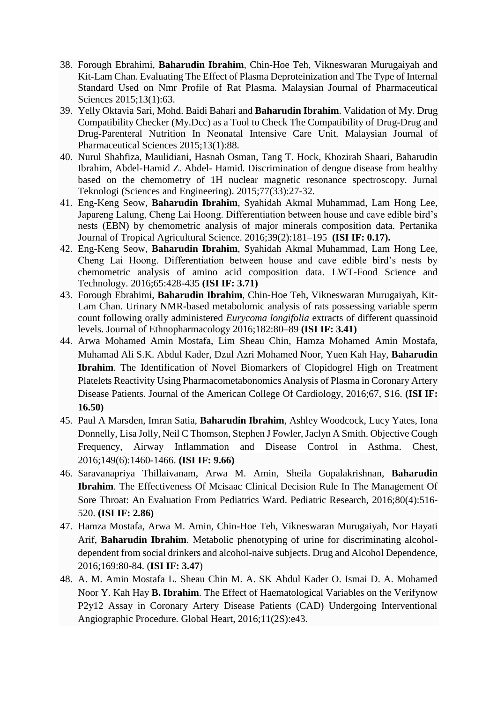- 38. Forough Ebrahimi, **Baharudin Ibrahim**, Chin-Hoe Teh, Vikneswaran Murugaiyah and Kit-Lam Chan. Evaluating The Effect of Plasma Deproteinization and The Type of Internal Standard Used on Nmr Profile of Rat Plasma. Malaysian Journal of Pharmaceutical Sciences 2015;13(1):63.
- 39. Yelly Oktavia Sari, Mohd. Baidi Bahari and **Baharudin Ibrahim**. Validation of My. Drug Compatibility Checker (My.Dcc) as a Tool to Check The Compatibility of Drug-Drug and Drug-Parenteral Nutrition In Neonatal Intensive Care Unit. Malaysian Journal of Pharmaceutical Sciences 2015;13(1):88.
- 40. Nurul Shahfiza, Maulidiani, Hasnah Osman, Tang T. Hock, Khozirah Shaari, Baharudin Ibrahim, Abdel-Hamid Z. Abdel- Hamid. Discrimination of dengue disease from healthy based on the chemometry of 1H nuclear magnetic resonance spectroscopy. Jurnal Teknologi (Sciences and Engineering). 2015;77(33):27-32.
- 41. Eng-Keng Seow, **Baharudin Ibrahim**, Syahidah Akmal Muhammad, Lam Hong Lee, Japareng Lalung, Cheng Lai Hoong. Differentiation between house and cave edible bird's nests (EBN) by chemometric analysis of major minerals composition data. Pertanika Journal of Tropical Agricultural Science. 2016;39(2):181–195 **(ISI IF: 0.17).**
- 42. Eng-Keng Seow, **Baharudin Ibrahim**, Syahidah Akmal Muhammad, Lam Hong Lee, Cheng Lai Hoong. Differentiation between house and cave edible bird's nests by chemometric analysis of amino acid composition data. LWT-Food Science and Technology. 2016;65:428-435 **(ISI IF: 3.71)**
- 43. Forough Ebrahimi, **Baharudin Ibrahim**, Chin-Hoe Teh, Vikneswaran Murugaiyah, Kit-Lam Chan. Urinary NMR-based metabolomic analysis of rats possessing variable sperm count following orally administered *Eurycoma longifolia* extracts of different quassinoid levels. Journal of Ethnopharmacology 2016;182:80–89 **(ISI IF: 3.41)**
- 44. Arwa Mohamed Amin Mostafa, Lim Sheau Chin, Hamza Mohamed Amin Mostafa, Muhamad Ali S.K. Abdul Kader, Dzul Azri Mohamed Noor, Yuen Kah Hay, **Baharudin Ibrahim**. The Identification of Novel Biomarkers of Clopidogrel High on Treatment Platelets Reactivity Using Pharmacometabonomics Analysis of Plasma in Coronary Artery Disease Patients. Journal of the American College Of Cardiology, 2016;67, S16. **(ISI IF: 16.50)**
- 45. Paul A Marsden, Imran Satia, **Baharudin Ibrahim**, Ashley Woodcock, Lucy Yates, Iona Donnelly, Lisa Jolly, Neil C Thomson, Stephen J Fowler, Jaclyn A Smith[. Objective Cough](http://www.sciencedirect.com/science/article/pii/S0012369216416193)  [Frequency, Airway Inflammation and Disease Control in Asthma.](http://www.sciencedirect.com/science/article/pii/S0012369216416193) Chest, 2016;149(6):1460-1466. **(ISI IF: 9.66)**
- 46. Saravanapriya Thillaivanam, Arwa M. Amin, Sheila Gopalakrishnan, **Baharudin Ibrahim**. The Effectiveness Of Mcisaac Clinical Decision Rule In The Management Of Sore Throat: An Evaluation From Pediatrics Ward. Pediatric Research, 2016;80(4):516- 520. **(ISI IF: 2.86)**
- 47. Hamza Mostafa, Arwa M. Amin, Chin-Hoe Teh, Vikneswaran Murugaiyah, Nor Hayati Arif, **Baharudin Ibrahim**. Metabolic phenotyping of urine for discriminating alcoholdependent from social drinkers and alcohol-naive subjects. Drug and Alcohol Dependence, 2016;169:80-84. (**ISI IF: 3.47**)
- 48. A. M. Amin Mostafa L. Sheau Chin M. A. SK Abdul Kader O. Ismai D. A. Mohamed Noor Y. Kah Hay **B. Ibrahim**. The Effect of Haematological Variables on the Verifynow P2y12 Assay in Coronary Artery Disease Patients (CAD) Undergoing Interventional Angiographic Procedure. Global Heart, 2016;11(2S):e43.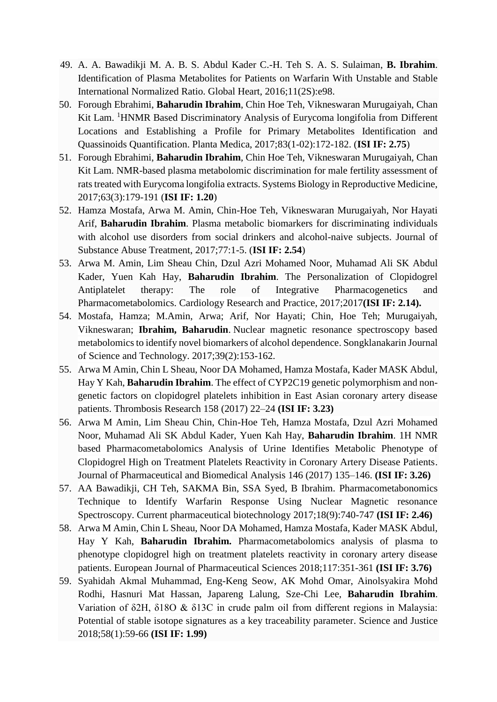- 49. A. A. Bawadikji M. A. B. S. Abdul Kader C.-H. Teh S. A. S. Sulaiman, **B. Ibrahim**. Identification of Plasma Metabolites for Patients on Warfarin With Unstable and Stable International Normalized Ratio. Global Heart, 2016;11(2S):e98.
- 50. Forough Ebrahimi, **Baharudin Ibrahim**, Chin Hoe Teh, Vikneswaran Murugaiyah, Chan Kit Lam. <sup>1</sup>HNMR Based Discriminatory Analysis of Eurycoma longifolia from Different Locations and Establishing a Profile for Primary Metabolites Identification and Quassinoids Quantification. Planta Medica, 2017;83(1-02):172-182. (**ISI IF: 2.75**)
- 51. Forough Ebrahimi, **Baharudin Ibrahim**, Chin Hoe Teh, Vikneswaran Murugaiyah, Chan Kit Lam. NMR-based plasma metabolomic discrimination for male fertility assessment of rats treated with Eurycoma longifolia extracts. Systems Biology in Reproductive Medicine, 2017;63(3):179-191 (**ISI IF: 1.20**)
- 52. Hamza Mostafa, Arwa M. Amin, Chin-Hoe Teh, Vikneswaran Murugaiyah, Nor Hayati Arif, **Baharudin Ibrahim**. Plasma metabolic biomarkers for discriminating individuals with alcohol use disorders from social drinkers and alcohol-naive subjects. Journal of Substance Abuse Treatment, 2017;77:1-5. (**ISI IF: 2.54**)
- 53. Arwa M. Amin, Lim Sheau Chin, Dzul Azri Mohamed Noor, Muhamad Ali SK Abdul Kader, Yuen Kah Hay, **Baharudin Ibrahim**. The Personalization of Clopidogrel Antiplatelet therapy: The role of Integrative Pharmacogenetics and Pharmacometabolomics. Cardiology Research and Practice, 2017;2017**(ISI IF: 2.14).**
- 54. Mostafa, Hamza; M.Amin, Arwa; Arif, Nor Hayati; Chin, Hoe Teh; Murugaiyah, Vikneswaran; **Ibrahim, Baharudin**. Nuclear magnetic resonance spectroscopy based metabolomics to identify novel biomarkers of alcohol dependence. Songklanakarin Journal of Science and Technology. 2017;39(2):153-162.
- 55. Arwa M Amin, Chin L Sheau, Noor DA Mohamed, Hamza Mostafa, Kader MASK Abdul, Hay Y Kah, **Baharudin Ibrahim**. [The effect of CYP2C19 genetic polymorphism and non](https://scholar.google.com/citations?view_op=view_citation&hl=en&user=L7fTSMsAAAAJ&sortby=pubdate&citation_for_view=L7fTSMsAAAAJ:GnPB-g6toBAC)[genetic factors on clopidogrel platelets inhibition in East Asian coronary artery disease](https://scholar.google.com/citations?view_op=view_citation&hl=en&user=L7fTSMsAAAAJ&sortby=pubdate&citation_for_view=L7fTSMsAAAAJ:GnPB-g6toBAC)  [patients.](https://scholar.google.com/citations?view_op=view_citation&hl=en&user=L7fTSMsAAAAJ&sortby=pubdate&citation_for_view=L7fTSMsAAAAJ:GnPB-g6toBAC) Thrombosis Research 158 (2017) 22–24 **(ISI IF: 3.23)**
- 56. Arwa M Amin, Lim Sheau Chin, Chin-Hoe Teh, Hamza Mostafa, Dzul Azri Mohamed Noor, Muhamad Ali SK Abdul Kader, Yuen Kah Hay, **Baharudin Ibrahim**. [1H NMR](https://scholar.google.com/citations?view_op=view_citation&hl=en&user=L7fTSMsAAAAJ&sortby=pubdate&citation_for_view=L7fTSMsAAAAJ:O3NaXMp0MMsC)  [based Pharmacometabolomics Analysis of Urine Identifies Metabolic Phenotype of](https://scholar.google.com/citations?view_op=view_citation&hl=en&user=L7fTSMsAAAAJ&sortby=pubdate&citation_for_view=L7fTSMsAAAAJ:O3NaXMp0MMsC)  [Clopidogrel High on Treatment Platelets Reactivity in Coronary Artery Disease Patients.](https://scholar.google.com/citations?view_op=view_citation&hl=en&user=L7fTSMsAAAAJ&sortby=pubdate&citation_for_view=L7fTSMsAAAAJ:O3NaXMp0MMsC) Journal of Pharmaceutical and Biomedical Analysis 146 (2017) 135–146. **(ISI IF: 3.26)**
- 57. AA Bawadikji, CH Teh, SAKMA Bin, SSA Syed, B Ibrahim. [Pharmacometabonomics](javascript:void(0))  [Technique to Identify Warfarin Response Using Nuclear Magnetic resonance](javascript:void(0))  [Spectroscopy.](javascript:void(0)) Current pharmaceutical biotechnology 2017;18(9):740-747 **(ISI IF: 2.46)**
- 58. Arwa M Amin, Chin L Sheau, Noor DA Mohamed, Hamza Mostafa, Kader MASK Abdul, Hay Y Kah, **Baharudin Ibrahim.** [Pharmacometabolomics analysis](javascript:void(0)) of plasma to [phenotype clopidogrel high on treatment platelets reactivity in coronary artery disease](javascript:void(0))  [patients.](javascript:void(0)) European Journal of Pharmaceutical Sciences 2018;117:351-361 **(ISI IF: 3.76)**
- 59. Syahidah Akmal Muhammad, Eng-Keng Seow, AK Mohd Omar, Ainolsyakira Mohd Rodhi, Hasnuri Mat Hassan, Japareng Lalung, Sze-Chi Lee, **Baharudin Ibrahim**. [Variation of δ2H, δ18O & δ13C in crude palm oil from different regions in Malaysia:](https://scholar.google.com/citations?view_op=view_citation&hl=en&user=L7fTSMsAAAAJ&sortby=pubdate&citation_for_view=L7fTSMsAAAAJ:YFjsv_pBGBYC)  [Potential of stable isotope signatures as a key traceability parameter.](https://scholar.google.com/citations?view_op=view_citation&hl=en&user=L7fTSMsAAAAJ&sortby=pubdate&citation_for_view=L7fTSMsAAAAJ:YFjsv_pBGBYC) Science and Justice 2018;58(1):59-66 **(ISI IF: 1.99)**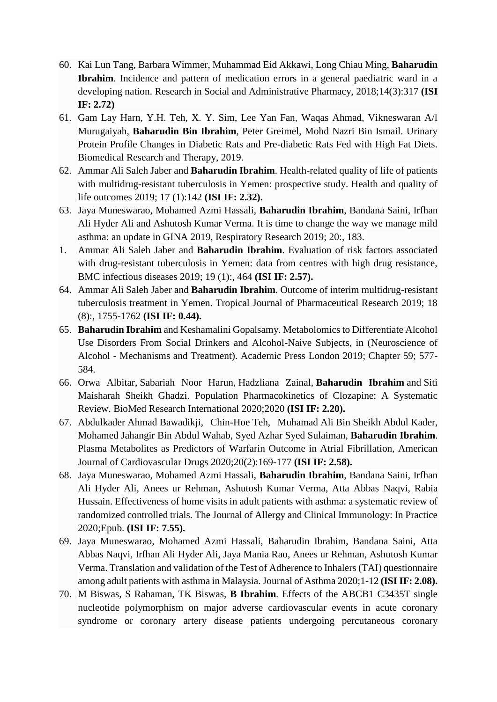- 60. Kai Lun Tang, Barbara Wimmer, Muhammad Eid Akkawi, Long Chiau Ming, **Baharudin Ibrahim**. Incidence and pattern of medication errors in a general paediatric ward in a developing nation. Research in Social and Administrative Pharmacy, 2018;14(3):317 **(ISI IF: 2.72)**
- 61. [Gam Lay Harn, Y.H. Teh, X. Y. Sim, Lee Yan Fan, Waqas Ahmad, Vikneswaran A/l](https://hcmsv3.usm.my/index.php/C_M111/ResearchPublicationDetails/MTM5NTE2)  Murugaiyah, **Baharudin Bin Ibrahim**[, Peter Greimel, Mohd Nazri Bin Ismail. Urinary](https://hcmsv3.usm.my/index.php/C_M111/ResearchPublicationDetails/MTM5NTE2)  [Protein Profile Changes in Diabetic Rats and Pre-diabetic Rats Fed with High Fat Diets.](https://hcmsv3.usm.my/index.php/C_M111/ResearchPublicationDetails/MTM5NTE2)  [Biomedical Research and Therapy,](https://hcmsv3.usm.my/index.php/C_M111/ResearchPublicationDetails/MTM5NTE2) 2019.
- 62. Ammar Ali Saleh Jaber and **Baharudin Ibrahim**. Health-related quality of life of patients with multidrug-resistant tuberculosis in Yemen: prospective study. Health and quality of life outcomes 2019; 17 (1):142 **(ISI IF: 2.32).**
- 63. [Jaya Muneswarao, Mohamed Azmi Hassali,](https://hcmsv3.usm.my/index.php/C_M111/ResearchPublicationDetails/MTQzMTU0) **Baharudin Ibrahim**, Bandana Saini, Irfhan Ali Hyder Ali and Ashutosh Kumar Verma. [It is time to change the way we manage mild](https://hcmsv3.usm.my/index.php/C_M111/ResearchPublicationDetails/MTQzMTU0)  [asthma: an update in GINA 2019, Respiratory Research 2019; 20:, 183.](https://hcmsv3.usm.my/index.php/C_M111/ResearchPublicationDetails/MTQzMTU0)
- 1. Ammar Ali Saleh Jaber and **Baharudin Ibrahim**[. Evaluation of risk factors associated](https://hcmsv3.usm.my/index.php/C_M111/ResearchPublicationDetails/MTQzMTU1)  with drug-resistant tuberculosis in Yemen: data from centres with high drug resistance, [BMC infectious diseases 2019; 19 \(1\):, 464](https://hcmsv3.usm.my/index.php/C_M111/ResearchPublicationDetails/MTQzMTU1) **(ISI IF: 2.57).**
- 64. Ammar Ali Saleh Jaber and **Baharudin Ibrahim**[. Outcome of interim multidrug-resistant](https://hcmsv3.usm.my/index.php/C_M111/ResearchPublicationDetails/MTQzMTU4)  [tuberculosis treatment in Yemen. Tropical Journal of Pharmaceutical Research 2019; 18](https://hcmsv3.usm.my/index.php/C_M111/ResearchPublicationDetails/MTQzMTU4)  [\(8\):, 1755-1762](https://hcmsv3.usm.my/index.php/C_M111/ResearchPublicationDetails/MTQzMTU4) **(ISI IF: 0.44).**
- 65. **Baharudin Ibrahim** [and Keshamalini Gopalsamy. Metabolomics to Differentiate Alcohol](https://hcmsv3.usm.my/index.php/C_M111/ResearchPublicationDetails/MTQzMTY2)  [Use Disorders From Social Drinkers and Alcohol-Naive Subjects, in \(Neuroscience of](https://hcmsv3.usm.my/index.php/C_M111/ResearchPublicationDetails/MTQzMTY2)  Alcohol - [Mechanisms and Treatment\). Academic Press London 2019; Chapter 59; 577-](https://hcmsv3.usm.my/index.php/C_M111/ResearchPublicationDetails/MTQzMTY2) [584.](https://hcmsv3.usm.my/index.php/C_M111/ResearchPublicationDetails/MTQzMTY2)
- 66. Orwa Albitar, Sabariah Noor Harun, Hadzliana Zainal, **Baharudin Ibrahim** and Siti Maisharah Sheikh Ghadzi. Population Pharmacokinetics of Clozapine: A Systematic Review. [BioMed Research International](https://www.hindawi.com/journals/bmri/) 2020;2020 **(ISI IF: 2.20).**
- 67. Abdulkader Ahmad Bawadikji, Chin-Hoe Teh, Muhamad Ali Bin Sheikh Abdul Kader, Mohamed Jahangir Bin Abdul Wahab, Syed Azhar Syed Sulaiman, **[Baharudin Ibrahim](https://hcmsv3.usm.my/index.php/C_M111/ResearchPublicationDetails/MTQzMTU3)**. [Plasma Metabolites as Predictors of Warfarin](https://hcmsv3.usm.my/index.php/C_M111/ResearchPublicationDetails/MTQzMTU3) Outcome in Atrial Fibrillation, American [Journal of Cardiovascular Drugs 2020;2](https://hcmsv3.usm.my/index.php/C_M111/ResearchPublicationDetails/MTQzMTU3)0(2):169-177 **(ISI IF: 2.58).**
- 68. Jaya Muneswarao, Mohamed Azmi Hassali, **Baharudin Ibrahim**, Bandana Saini, Irfhan Ali Hyder Ali, Anees ur Rehman, Ashutosh Kumar Verma, Atta Abbas Naqvi, Rabia Hussain[. Effectiveness of home visits in adult patients with asthma: a systematic review](https://www.sciencedirect.com/science/article/pii/S2213219820305286) of [randomized controlled trials.](https://www.sciencedirect.com/science/article/pii/S2213219820305286) The Journal of Allergy and Clinical Immunology: In Practice 2020;Epub. **(ISI IF: 7.55).**
- 69. Jaya Muneswarao, Mohamed Azmi Hassali, Baharudin Ibrahim, Bandana Saini, Atta Abbas Naqvi, Irfhan Ali Hyder Ali, Jaya Mania Rao, Anees ur Rehman, Ashutosh Kumar Verma. [Translation and validation of the Test of Adherence to Inhalers \(TAI\) questionnaire](https://www.tandfonline.com/doi/abs/10.1080/02770903.2020.1776728)  [among adult patients with asthma in Malaysia.](https://www.tandfonline.com/doi/abs/10.1080/02770903.2020.1776728) Journal of Asthma 2020;1-12 **(ISI IF: 2.08).**
- 70. M Biswas, S Rahaman, TK Biswas, **B Ibrahim**. [Effects of the ABCB1 C3435T single](https://scholar.google.com/scholar?oi=bibs&cluster=5365336482148260568&btnI=1&hl=en)  [nucleotide polymorphism on major adverse cardiovascular events in acute coronary](https://scholar.google.com/scholar?oi=bibs&cluster=5365336482148260568&btnI=1&hl=en)  [syndrome or coronary artery disease patients undergoing percutaneous coronary](https://scholar.google.com/scholar?oi=bibs&cluster=5365336482148260568&btnI=1&hl=en)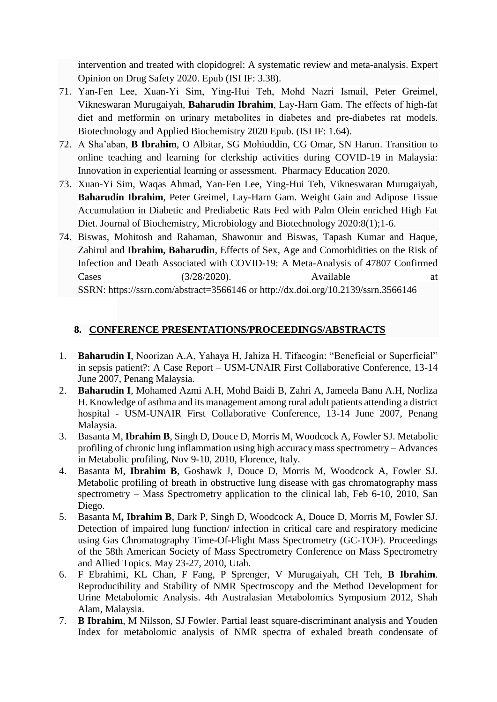[intervention and treated with clopidogrel: A systematic review](https://scholar.google.com/scholar?oi=bibs&cluster=5365336482148260568&btnI=1&hl=en) and meta-analysis. Expert Opinion on Drug Safety 2020. Epub (ISI IF: 3.38).

- 71. Yan‐Fen Lee, Xuan‐Yi Sim, Ying‐Hui Teh, Mohd Nazri Ismail, Peter Greimel, Vikneswaran Murugaiyah, **Baharudin Ibrahim**, Lay‐Harn Gam. [The effects of high‐fat](https://scholar.google.com/scholar?oi=bibs&cluster=12596928348314641399&btnI=1&hl=en)  [diet and metformin on urinary metabolites in diabetes and pre‐diabetes rat models.](https://scholar.google.com/scholar?oi=bibs&cluster=12596928348314641399&btnI=1&hl=en) Biotechnology and Applied Biochemistry 2020 Epub. (ISI IF: 1.64).
- 72. A Sha'aban, **B Ibrahim**, O Albitar, SG Mohiuddin, CG Omar, SN Harun. [Transition to](https://scholar.google.com/scholar?oi=bibs&cluster=3075802504393980344&btnI=1&hl=en)  [online teaching and learning for clerkship activities during COVID-19 in Malaysia:](https://scholar.google.com/scholar?oi=bibs&cluster=3075802504393980344&btnI=1&hl=en)  [Innovation in experiential learning or assessment.](https://scholar.google.com/scholar?oi=bibs&cluster=3075802504393980344&btnI=1&hl=en) Pharmacy Education 2020.
- 73. Xuan-Yi Sim, Waqas Ahmad, Yan-Fen Lee, Ying-Hui Teh, Vikneswaran Murugaiyah, **Baharudin Ibrahim**, Peter Greimel, Lay-Harn Gam. [Weight Gain and Adipose Tissue](https://scholar.google.com/scholar?oi=bibs&cluster=4806180548216061338&btnI=1&hl=en)  [Accumulation in Diabetic and Prediabetic Rats Fed with Palm Olein enriched High Fat](https://scholar.google.com/scholar?oi=bibs&cluster=4806180548216061338&btnI=1&hl=en)  [Diet.](https://scholar.google.com/scholar?oi=bibs&cluster=4806180548216061338&btnI=1&hl=en) Journal of Biochemistry, Microbiology and Biotechnology 2020:8(1);1-6.
- 74. Biswas, Mohitosh and Rahaman, Shawonur and Biswas, Tapash Kumar and Haque, Zahirul and **Ibrahim, Baharudin**, Effects of Sex, Age and Comorbidities on the Risk of Infection and Death Associated with COVID-19: A Meta-Analysis of 47807 Confirmed Cases (3/28/2020). Available at SSRN: <https://ssrn.com/abstract=3566146> or [http://dx.doi.org/10.2139/ssrn.3566146](https://dx.doi.org/10.2139/ssrn.3566146)

# **8. CONFERENCE PRESENTATIONS/PROCEEDINGS/ABSTRACTS**

- 1. **Baharudin I**, Noorizan A.A, Yahaya H, Jahiza H. Tifacogin: "Beneficial or Superficial" in sepsis patient?: A Case Report – USM-UNAIR First Collaborative Conference, 13-14 June 2007, Penang Malaysia.
- 2. **Baharudin I**, Mohamed Azmi A.H, Mohd Baidi B, Zahri A, Jameela Banu A.H, Norliza H. Knowledge of asthma and its management among rural adult patients attending a district hospital - USM-UNAIR First Collaborative Conference, 13-14 June 2007, Penang Malaysia.
- 3. Basanta M, **Ibrahim B**, Singh D, Douce D, Morris M, Woodcock A, Fowler SJ. Metabolic profiling of chronic lung inflammation using high accuracy mass spectrometry – Advances in Metabolic profiling, Nov 9-10, 2010, Florence, Italy.
- 4. Basanta M, **Ibrahim B**, Goshawk J, Douce D, Morris M, Woodcock A, Fowler SJ. Metabolic profiling of breath in obstructive lung disease with gas chromatography mass spectrometry – Mass Spectrometry application to the clinical lab, Feb 6-10, 2010, San Diego.
- 5. Basanta M**, Ibrahim B**, Dark P, Singh D, Woodcock A, Douce D, Morris M, Fowler SJ. Detection of impaired lung function/ infection in critical care and respiratory medicine using Gas Chromatography Time-Of-Flight Mass Spectrometry (GC-TOF). Proceedings of the 58th American Society of Mass Spectrometry Conference on Mass Spectrometry and Allied Topics. May 23-27, 2010, Utah.
- 6. F Ebrahimi, KL Chan, F Fang, P Sprenger, V Murugaiyah, CH Teh, **B Ibrahim**. Reproducibility and Stability of NMR Spectroscopy and the Method Development for Urine Metabolomic Analysis. 4th Australasian Metabolomics Symposium 2012, Shah Alam, Malaysia.
- 7. **B Ibrahim**, M Nilsson, SJ Fowler. Partial least square-discriminant analysis and Youden Index for metabolomic analysis of NMR spectra of exhaled breath condensate of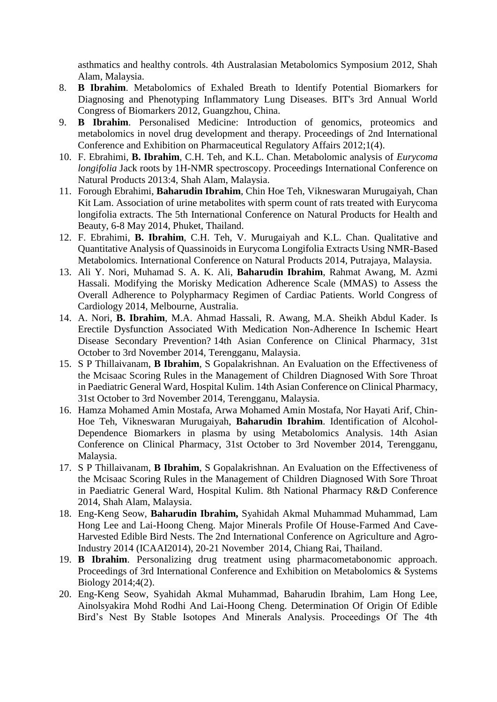asthmatics and healthy controls. 4th Australasian Metabolomics Symposium 2012, Shah Alam, Malaysia.

- 8. **B Ibrahim**. Metabolomics of Exhaled Breath to Identify Potential Biomarkers for Diagnosing and Phenotyping Inflammatory Lung Diseases. BIT's 3rd Annual World Congress of Biomarkers 2012, Guangzhou, China.
- 9. **B Ibrahim**. Personalised Medicine: Introduction of genomics, proteomics and metabolomics in novel drug development and therapy. Proceedings of 2nd International Conference and Exhibition on Pharmaceutical Regulatory Affairs 2012;1(4).
- 10. F. Ebrahimi, **B. Ibrahim**, C.H. Teh, and K.L. Chan. Metabolomic analysis of *Eurycoma longifolia* Jack roots by 1H-NMR spectroscopy. Proceedings International Conference on Natural Products 2013:4, Shah Alam, Malaysia.
- 11. Forough Ebrahimi, **Baharudin Ibrahim**, Chin Hoe Teh, Vikneswaran Murugaiyah, Chan Kit Lam. Association of urine metabolites with sperm count of rats treated with Eurycoma longifolia extracts. The 5th International Conference on Natural Products for Health and Beauty, 6-8 May 2014, Phuket, Thailand.
- 12. F. Ebrahimi, **B. Ibrahim**, C.H. Teh, V. Murugaiyah and K.L. Chan. Qualitative and Quantitative Analysis of Quassinoids in Eurycoma Longifolia Extracts Using NMR-Based Metabolomics. International Conference on Natural Products 2014, Putrajaya, Malaysia.
- 13. Ali Y. Nori, Muhamad S. A. K. Ali, **Baharudin Ibrahim**, Rahmat Awang, M. Azmi Hassali. Modifying the Morisky Medication Adherence Scale (MMAS) to Assess the Overall Adherence to Polypharmacy Regimen of Cardiac Patients. World Congress of Cardiology 2014, Melbourne, Australia.
- 14. A. Nori, **B. Ibrahim**, M.A. Ahmad Hassali, R. Awang, M.A. Sheikh Abdul Kader. Is Erectile Dysfunction Associated With Medication Non-Adherence In Ischemic Heart Disease Secondary Prevention? 14th Asian Conference on Clinical Pharmacy, 31st October to 3rd November 2014, Terengganu, Malaysia.
- 15. S P Thillaivanam, **B Ibrahim**, S Gopalakrishnan. [An Evaluation on the Effectiveness of](http://mjpch.com/index.php/mjpch/article/view/286)  [the Mcisaac Scoring Rules in the Management of Children Diagnosed With Sore Throat](http://mjpch.com/index.php/mjpch/article/view/286)  [in Paediatric General Ward, Hospital Kulim.](http://mjpch.com/index.php/mjpch/article/view/286) 14th Asian Conference on Clinical Pharmacy, 31st October to 3rd November 2014, Terengganu, Malaysia.
- 16. Hamza Mohamed Amin Mostafa, Arwa Mohamed Amin Mostafa, Nor Hayati Arif, Chin-Hoe Teh, Vikneswaran Murugaiyah, **Baharudin Ibrahim**. Identification of Alcohol-Dependence Biomarkers in plasma by using Metabolomics Analysis. 14th Asian Conference on Clinical Pharmacy, 31st October to 3rd November 2014, Terengganu, Malaysia.
- 17. S P Thillaivanam, **B Ibrahim**, S Gopalakrishnan. [An Evaluation on the Effectiveness of](http://mjpch.com/index.php/mjpch/article/view/286)  [the Mcisaac Scoring Rules in the Management of Children Diagnosed With Sore Throat](http://mjpch.com/index.php/mjpch/article/view/286)  [in Paediatric General Ward, Hospital Kulim.](http://mjpch.com/index.php/mjpch/article/view/286) 8th National Pharmacy R&D Conference 2014, Shah Alam, Malaysia.
- 18. Eng-Keng Seow, **Baharudin Ibrahim,** Syahidah Akmal Muhammad Muhammad, Lam Hong Lee and Lai-Hoong Cheng. Major Minerals Profile Of House-Farmed And Cave-Harvested Edible Bird Nests. The 2nd International Conference on Agriculture and Agro-Industry 2014 (ICAAI2014), 20-21 November 2014, Chiang Rai, Thailand.
- 19. **B Ibrahim**. Personalizing drug treatment using pharmacometabonomic approach. Proceedings of 3rd International Conference and Exhibition on Metabolomics & Systems Biology 2014;4(2).
- 20. Eng-Keng Seow, Syahidah Akmal Muhammad, Baharudin Ibrahim, Lam Hong Lee, Ainolsyakira Mohd Rodhi And Lai-Hoong Cheng. Determination Of Origin Of Edible Bird's Nest By Stable Isotopes And Minerals Analysis. Proceedings Of The 4th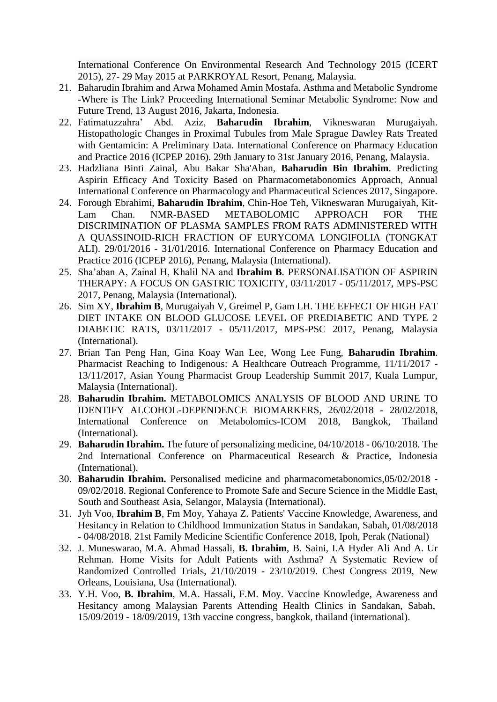International Conference On Environmental Research And Technology 2015 (ICERT 2015), 27- 29 May 2015 at PARKROYAL Resort, Penang, Malaysia.

- 21. Baharudin Ibrahim and Arwa Mohamed Amin Mostafa. Asthma and Metabolic Syndrome -Where is The Link? Proceeding International Seminar Metabolic Syndrome: Now and Future Trend, 13 August 2016, Jakarta, Indonesia.
- 22. Fatimatuzzahra' Abd. Aziz, **Baharudin Ibrahim**, Vikneswaran Murugaiyah. Histopathologic Changes in Proximal Tubules from Male Sprague Dawley Rats Treated with Gentamicin: A Preliminary Data. International Conference on Pharmacy Education and Practice 2016 (ICPEP 2016). 29th January to 31st January 2016, Penang, Malaysia.
- 23. Hadzliana Binti Zainal, Abu Bakar Sha'Aban, **Baharudin Bin Ibrahim**. Predicting Aspirin Efficacy And Toxicity Based on Pharmacometabonomics Approach, Annual International Conference on Pharmacology and Pharmaceutical Sciences 2017, Singapore.
- 24. Forough Ebrahimi, **Baharudin Ibrahim**, Chin-Hoe Teh, Vikneswaran Murugaiyah, Kit-Lam Chan. NMR-BASED METABOLOMIC APPROACH FOR THE DISCRIMINATION OF PLASMA SAMPLES FROM RATS ADMINISTERED WITH A QUASSINOID-RICH FRACTION OF EURYCOMA LONGIFOLIA (TONGKAT ALI). 29/01/2016 - [31/01/2016. International Conference on Pharmacy Education and](https://hcmsv3.usm.my/index.php/C_proceeding/vwDetailPembentangan/MjkzNzY=)  [Practice 2016 \(ICPEP 2016\), Penang, Malaysia \(International\).](https://hcmsv3.usm.my/index.php/C_proceeding/vwDetailPembentangan/MjkzNzY=)
- 25. Sha'aban A, Zainal H, Khalil NA and **Ibrahim B**. [PERSONALISATION OF ASPIRIN](https://hcmsv3.usm.my/index.php/C_proceeding/vwDetailPembentangan/Mzg3Mzc=)  [THERAPY: A FOCUS ON GASTRIC TOXICITY, 03/11/2017 -](https://hcmsv3.usm.my/index.php/C_proceeding/vwDetailPembentangan/Mzg3Mzc=) 05/11/2017, MPS-PSC [2017, Penang, Malaysia \(International\).](https://hcmsv3.usm.my/index.php/C_proceeding/vwDetailPembentangan/Mzg3Mzc=)
- 26. Sim XY, **Ibrahim B**, Murugaiyah V, Greimel P, Gam LH. [THE EFFECT OF HIGH FAT](https://hcmsv3.usm.my/index.php/C_proceeding/vwDetailPembentangan/Mzg3Mzg=)  [DIET INTAKE ON BLOOD GLUCOSE LEVEL OF PREDIABETIC AND TYPE 2](https://hcmsv3.usm.my/index.php/C_proceeding/vwDetailPembentangan/Mzg3Mzg=)  DIABETIC RATS, 03/11/2017 - [05/11/2017, MPS-PSC 2017, Penang, Malaysia](https://hcmsv3.usm.my/index.php/C_proceeding/vwDetailPembentangan/Mzg3Mzg=)  [\(International\).](https://hcmsv3.usm.my/index.php/C_proceeding/vwDetailPembentangan/Mzg3Mzg=)
- 27. Brian Tan Peng Han, Gina Koay Wan Lee, Wong Lee Fung, **Baharudin Ibrahim**. [Pharmacist Reaching to Indigenous: A Healthcare Outreach Programme, 11/11/2017 -](https://hcmsv3.usm.my/index.php/C_proceeding/vwDetailPembentangan/Mzg3NDA=) [13/11/2017, Asian Young Pharmacist Group Leadership Summit 2017, Kuala Lumpur,](https://hcmsv3.usm.my/index.php/C_proceeding/vwDetailPembentangan/Mzg3NDA=)  [Malaysia \(International\).](https://hcmsv3.usm.my/index.php/C_proceeding/vwDetailPembentangan/Mzg3NDA=)
- 28. **Baharudin Ibrahim.** [METABOLOMICS ANALYSIS OF BLOOD AND URINE](https://hcmsv3.usm.my/index.php/C_proceeding/vwDetailPembentangan/NTQyNjQ=) TO [IDENTIFY ALCOHOL-DEPENDENCE BIOMARKERS, 26/02/2018 -](https://hcmsv3.usm.my/index.php/C_proceeding/vwDetailPembentangan/NTQyNjQ=) 28/02/2018, [International Conference on Metabolomics-ICOM 2018, Bangkok, Thailand](https://hcmsv3.usm.my/index.php/C_proceeding/vwDetailPembentangan/NTQyNjQ=)  [\(International\).](https://hcmsv3.usm.my/index.php/C_proceeding/vwDetailPembentangan/NTQyNjQ=)
- 29. **Baharudin Ibrahim.** [The future of personalizing medicine, 04/10/2018 -](https://hcmsv3.usm.my/index.php/C_proceeding/vwDetailPembentangan/NTQyNjY=) 06/10/2018. The [2nd International Conference on Pharmaceutical Research & Practice, Indonesia](https://hcmsv3.usm.my/index.php/C_proceeding/vwDetailPembentangan/NTQyNjY=)  [\(International\).](https://hcmsv3.usm.my/index.php/C_proceeding/vwDetailPembentangan/NTQyNjY=)
- 30. **Baharudin Ibrahim.** [Personalised medicine and pharmacometabonomics,05/02/2018 -](https://hcmsv3.usm.my/index.php/C_proceeding/vwDetailPembentangan/NTQyNjc=) [09/02/2018. Regional Conference to Promote Safe and Secure Science in the Middle East,](https://hcmsv3.usm.my/index.php/C_proceeding/vwDetailPembentangan/NTQyNjc=)  [South and Southeast Asia, Selangor, Malaysia \(International\).](https://hcmsv3.usm.my/index.php/C_proceeding/vwDetailPembentangan/NTQyNjc=)
- 31. Jyh Voo, **Ibrahim B**, Fm Moy, Yahaya Z. [Patients' Vaccine Knowledge, Awareness, and](https://hcmsv3.usm.my/index.php/C_proceeding/vwDetailPembentangan/NTQyNjM=)  [Hesitancy in Relation to Childhood Immunization Status](https://hcmsv3.usm.my/index.php/C_proceeding/vwDetailPembentangan/NTQyNjM=) in Sandakan, Sabah, 01/08/2018 - [04/08/2018. 21st Family Medicine Scientific Conference 2018, Ipoh, Perak \(National\)](https://hcmsv3.usm.my/index.php/C_proceeding/vwDetailPembentangan/NTQyNjM=)
- 32. J. Muneswarao, M.A. Ahmad Hassali, **B. Ibrahim**, B. Saini, I.A Hyder Ali And A. Ur Rehman. [Home Visits for Adult Patients with Asthma? A Systematic Review](https://hcmsv3.usm.my/index.php/C_proceeding/vwDetailPembentangan/NTY3MDE=) of [Randomized Controlled Trials, 21/10/2019 -](https://hcmsv3.usm.my/index.php/C_proceeding/vwDetailPembentangan/NTY3MDE=) 23/10/2019. Chest Congress 2019, New [Orleans, Louisiana, Usa \(International\).](https://hcmsv3.usm.my/index.php/C_proceeding/vwDetailPembentangan/NTY3MDE=)
- 33. Y.H. Voo, **B. Ibrahim**, M.A. Hassali, F.M. Moy. Vaccine Knowledge, Awareness and Hesitancy among Malaysian Parents Attending Health Clinics in Sandakan, Sabah, 15/09/2019 - 18/09/2019, 13th vaccine congress, bangkok, thailand (international).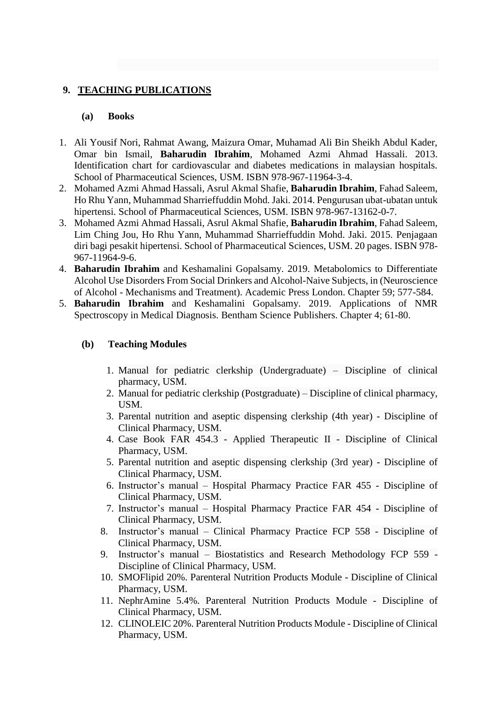## **9. TEACHING PUBLICATIONS**

## **(a) Books**

- 1. Ali Yousif Nori, Rahmat Awang, Maizura Omar, Muhamad Ali Bin Sheikh Abdul Kader, Omar bin Ismail, **Baharudin Ibrahim**, Mohamed Azmi Ahmad Hassali. 2013. Identification chart for cardiovascular and diabetes medications in malaysian hospitals. School of Pharmaceutical Sciences, USM. ISBN 978-967-11964-3-4.
- 2. Mohamed Azmi Ahmad Hassali, Asrul Akmal Shafie, **Baharudin Ibrahim**, Fahad Saleem, Ho Rhu Yann, Muhammad Sharrieffuddin Mohd. Jaki. 2014. Pengurusan ubat-ubatan untuk hipertensi. School of Pharmaceutical Sciences, USM. ISBN 978-967-13162-0-7.
- 3. Mohamed Azmi Ahmad Hassali, Asrul Akmal Shafie, **Baharudin Ibrahim**, Fahad Saleem, Lim Ching Jou, Ho Rhu Yann, Muhammad Sharrieffuddin Mohd. Jaki. 2015. Penjagaan diri bagi pesakit hipertensi. School of Pharmaceutical Sciences, USM. 20 pages. ISBN 978- 967-11964-9-6.
- 4. **Baharudin Ibrahim** [and Keshamalini Gopalsamy. 2019. Metabolomics to Differentiate](https://hcmsv3.usm.my/index.php/C_M111/ResearchPublicationDetails/MTQzMTY2)  [Alcohol Use Disorders From Social Drinkers and Alcohol-Naive Subjects, in \(Neuroscience](https://hcmsv3.usm.my/index.php/C_M111/ResearchPublicationDetails/MTQzMTY2)  of Alcohol - [Mechanisms and Treatment\). Academic Press London. Chapter 59; 577-584.](https://hcmsv3.usm.my/index.php/C_M111/ResearchPublicationDetails/MTQzMTY2)
- 5. **Baharudin Ibrahim** and Keshamalini Gopalsamy. 2019. Applications of NMR Spectroscopy in Medical Diagnosis. Bentham Science Publishers. Chapter 4; 61-80.

### **(b) Teaching Modules**

- 1. Manual for pediatric clerkship (Undergraduate) Discipline of clinical pharmacy, USM.
- 2. Manual for pediatric clerkship (Postgraduate) Discipline of clinical pharmacy, USM.
- 3. Parental nutrition and aseptic dispensing clerkship (4th year) Discipline of Clinical Pharmacy, USM.
- 4. Case Book FAR 454.3 Applied Therapeutic II Discipline of Clinical Pharmacy, USM.
- 5. Parental nutrition and aseptic dispensing clerkship (3rd year) Discipline of Clinical Pharmacy, USM.
- 6. Instructor's manual Hospital Pharmacy Practice FAR 455 Discipline of Clinical Pharmacy, USM.
- 7. Instructor's manual Hospital Pharmacy Practice FAR 454 Discipline of Clinical Pharmacy, USM.
- 8. Instructor's manual Clinical Pharmacy Practice FCP 558 Discipline of Clinical Pharmacy, USM.
- 9. Instructor's manual Biostatistics and Research Methodology FCP 559 Discipline of Clinical Pharmacy, USM.
- 10. SMOFlipid 20%. Parenteral Nutrition Products Module Discipline of Clinical Pharmacy, USM.
- 11. NephrAmine 5.4%. Parenteral Nutrition Products Module Discipline of Clinical Pharmacy, USM.
- 12. CLINOLEIC 20%. Parenteral Nutrition Products Module Discipline of Clinical Pharmacy, USM.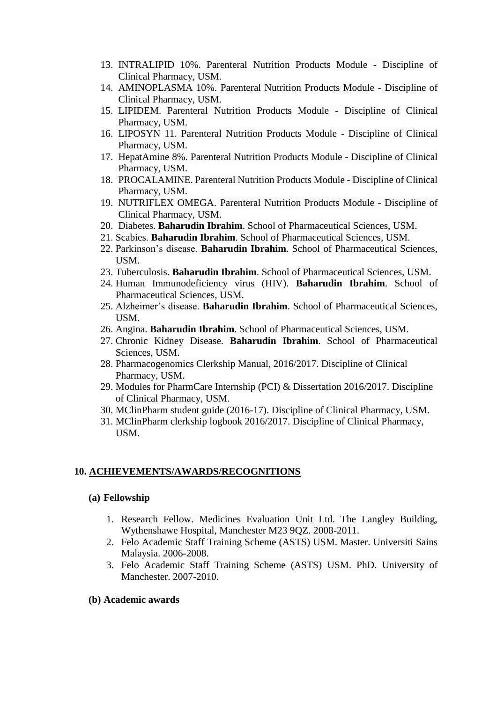- 13. INTRALIPID 10%. Parenteral Nutrition Products Module Discipline of Clinical Pharmacy, USM.
- 14. AMINOPLASMA 10%. Parenteral Nutrition Products Module Discipline of Clinical Pharmacy, USM.
- 15. LIPIDEM. Parenteral Nutrition Products Module Discipline of Clinical Pharmacy, USM.
- 16. LIPOSYN 11. Parenteral Nutrition Products Module Discipline of Clinical Pharmacy, USM.
- 17. HepatAmine 8%. Parenteral Nutrition Products Module Discipline of Clinical Pharmacy, USM.
- 18. PROCALAMINE. Parenteral Nutrition Products Module Discipline of Clinical Pharmacy, USM.
- 19. NUTRIFLEX OMEGA. Parenteral Nutrition Products Module Discipline of Clinical Pharmacy, USM.
- 20. Diabetes. **Baharudin Ibrahim**. School of Pharmaceutical Sciences, USM.
- 21. Scabies. **Baharudin Ibrahim**. School of Pharmaceutical Sciences, USM.
- 22. Parkinson's disease. **Baharudin Ibrahim**. School of Pharmaceutical Sciences, USM.
- 23. Tuberculosis. **Baharudin Ibrahim**. School of Pharmaceutical Sciences, USM.
- 24. Human Immunodeficiency virus (HIV). **Baharudin Ibrahim**. School of Pharmaceutical Sciences, USM.
- 25. Alzheimer's disease. **Baharudin Ibrahim**. School of Pharmaceutical Sciences, USM.
- 26. Angina. **Baharudin Ibrahim**. School of Pharmaceutical Sciences, USM.
- 27. Chronic Kidney Disease. **Baharudin Ibrahim**. School of Pharmaceutical Sciences, USM.
- 28. Pharmacogenomics Clerkship Manual, 2016/2017. Discipline of Clinical Pharmacy, USM.
- 29. Modules for PharmCare Internship (PCI) & Dissertation 2016/2017. Discipline of Clinical Pharmacy, USM.
- 30. MClinPharm student guide (2016-17). Discipline of Clinical Pharmacy, USM.
- 31. MClinPharm clerkship logbook 2016/2017. Discipline of Clinical Pharmacy, USM.

#### **10. ACHIEVEMENTS/AWARDS/RECOGNITIONS**

#### **(a) Fellowship**

- 1. Research Fellow. Medicines Evaluation Unit Ltd. The Langley Building, Wythenshawe Hospital, Manchester M23 9QZ. 2008-2011.
- 2. Felo Academic Staff Training Scheme (ASTS) USM. Master. Universiti Sains Malaysia. 2006-2008.
- 3. Felo Academic Staff Training Scheme (ASTS) USM. PhD. University of Manchester. 2007-2010.

#### **(b) Academic awards**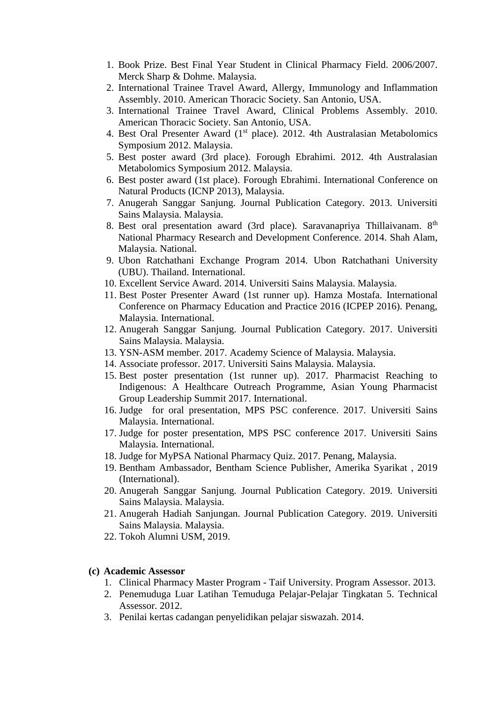- 1. Book Prize. Best Final Year Student in Clinical Pharmacy Field. 2006/2007. Merck Sharp & Dohme. Malaysia.
- 2. International Trainee Travel Award, Allergy, Immunology and Inflammation Assembly. 2010. American Thoracic Society. San Antonio, USA.
- 3. International Trainee Travel Award, Clinical Problems Assembly. 2010. American Thoracic Society. San Antonio, USA.
- 4. Best Oral Presenter Award  $(1<sup>st</sup>$  place). 2012. 4th Australasian Metabolomics Symposium 2012. Malaysia.
- 5. Best poster award (3rd place). Forough Ebrahimi. 2012. 4th Australasian Metabolomics Symposium 2012. Malaysia.
- 6. Best poster award (1st place). Forough Ebrahimi. International Conference on Natural Products (ICNP 2013), Malaysia.
- 7. Anugerah Sanggar Sanjung. Journal Publication Category. 2013. Universiti Sains Malaysia. Malaysia.
- 8. Best oral presentation award (3rd place). Saravanapriya Thillaivanam. 8<sup>th</sup> National Pharmacy Research and Development Conference. 2014. Shah Alam, Malaysia. National.
- 9. Ubon Ratchathani Exchange Program 2014. Ubon Ratchathani University (UBU). Thailand. International.
- 10. Excellent Service Award. 2014. Universiti Sains Malaysia. Malaysia.
- 11. Best Poster Presenter Award (1st runner up). Hamza Mostafa. International Conference on Pharmacy Education and Practice 2016 (ICPEP 2016). Penang, Malaysia. International.
- 12. Anugerah Sanggar Sanjung. Journal Publication Category. 2017. Universiti Sains Malaysia. Malaysia.
- 13. YSN-ASM member. 2017. Academy Science of Malaysia. Malaysia.
- 14. Associate professor. 2017. Universiti Sains Malaysia. Malaysia.
- 15. Best poster presentation (1st runner up). 2017. Pharmacist Reaching to Indigenous: A Healthcare Outreach Programme, Asian Young Pharmacist Group Leadership Summit 2017. International.
- 16. Judge for oral presentation, MPS PSC conference. 2017. Universiti Sains Malaysia. International.
- 17. Judge for poster presentation, MPS PSC conference 2017. Universiti Sains Malaysia. International.
- 18. Judge for MyPSA National Pharmacy Quiz. 2017. Penang, Malaysia.
- 19. [Bentham Ambassador, Bentham Science Publisher, Amerika Syarikat , 2019](https://hcmsv3.usm.my/index.php/C_Recognition/vwDetailSanjungan/162422)  [\(International\).](https://hcmsv3.usm.my/index.php/C_Recognition/vwDetailSanjungan/162422)
- 20. Anugerah Sanggar Sanjung. Journal Publication Category. 2019. Universiti Sains Malaysia. Malaysia.
- 21. Anugerah Hadiah Sanjungan. Journal Publication Category. 2019. Universiti Sains Malaysia. Malaysia.
- 22. [Tokoh Alumni USM, 2019.](https://hcmsv3.usm.my/index.php/C_Recognition/vwDetailSanjungan/162426)

### **(c) Academic Assessor**

- 1. Clinical Pharmacy Master Program Taif University. Program Assessor. 2013.
- 2. Penemuduga Luar Latihan Temuduga Pelajar-Pelajar Tingkatan 5. Technical Assessor. 2012.
- 3. Penilai kertas cadangan penyelidikan pelajar siswazah. 2014.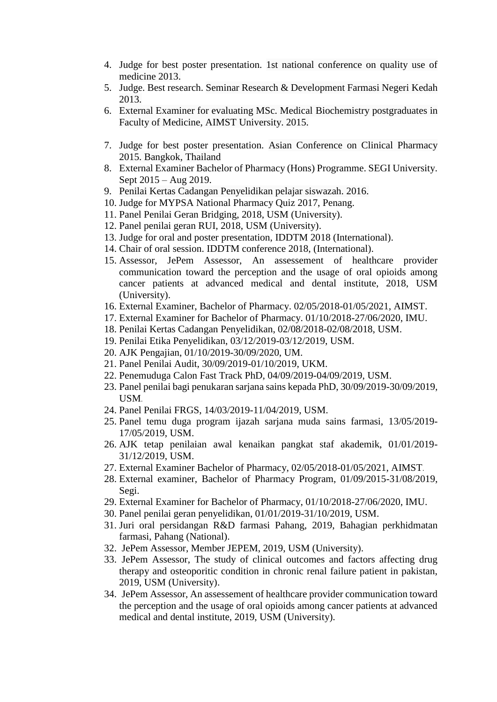- 4. Judge for best poster presentation. 1st national conference on quality use of medicine 2013.
- 5. Judge. Best research. Seminar Research & Development Farmasi Negeri Kedah 2013.
- 6. External Examiner for evaluating MSc. Medical Biochemistry postgraduates in Faculty of Medicine, AIMST University. 2015.
- 7. Judge for best poster presentation. Asian Conference on Clinical Pharmacy 2015. Bangkok, Thailand
- 8. External Examiner Bachelor of Pharmacy (Hons) Programme. SEGI University. Sept 2015 – Aug 2019.
- 9. Penilai Kertas Cadangan Penyelidikan pelajar siswazah. 2016.
- 10. Judge for MYPSA National Pharmacy Quiz 2017, Penang.
- 11. [Panel Penilai Geran Bridging, 2018, USM \(University\).](https://hcmsv3.usm.my/index.php/C_Recognition/vwDetailSanjungan/148807/RCG)
- 12. [Panel penilai geran RUI, 2018, USM \(University\).](https://hcmsv3.usm.my/index.php/C_Recognition/vwDetailSanjungan/148808/RCG)
- 13. [Judge for oral and poster presentation, IDDTM 2018 \(International\).](https://hcmsv3.usm.my/index.php/C_Recognition/vwDetailSanjungan/148823/RCG)
- 14. [Chair of oral session. IDDTM conference 2018, \(International\).](https://hcmsv3.usm.my/index.php/C_Recognition/vwDetailSanjungan/148824/RCG)
- 15. [Assessor, JePem Assessor, An assessement of healthcare provider](https://hcmsv3.usm.my/index.php/C_Recognition/vwDetailSanjungan/148832/RCG)  [communication toward the perception and the usage of oral opioids among](https://hcmsv3.usm.my/index.php/C_Recognition/vwDetailSanjungan/148832/RCG)  [cancer patients at advanced medical and dental institute, 2018, USM](https://hcmsv3.usm.my/index.php/C_Recognition/vwDetailSanjungan/148832/RCG)  [\(University\).](https://hcmsv3.usm.my/index.php/C_Recognition/vwDetailSanjungan/148832/RCG)
- 16. [External Examiner, Bachelor of Pharmacy. 02/05/2018-01/05/2021, AIMST.](https://hcmsv3.usm.my/index.php/C_Recognition/vwDetailSuntingan/5068577/RCG)
- 17. [External Examiner for Bachelor of Pharmacy. 01/10/2018-27/06/2020, IMU.](https://hcmsv3.usm.my/index.php/C_Recognition/vwDetailSuntingan/5068583/RCG)
- 18. [Penilai Kertas Cadangan Penyelidikan, 02/08/2018-02/08/2018, USM.](https://hcmsv3.usm.my/index.php/C_Recognition/vwDetailSuntingan/5068585/RCG)
- 19. [Penilai Etika Penyelidikan, 03/12/2019-03/12/2019, USM.](https://hcmsv3.usm.my/index.php/C_Recognition/vwDetailSuntingan/5075600/RCG)
- 20. [AJK Pengajian, 01/10/2019-30/09/2020, UM.](https://hcmsv3.usm.my/index.php/C_Recognition/vwDetailSuntingan/5075601/RCG)
- 21. [Panel Penilai Audit, 30/09/2019-01/10/2019, UKM.](https://hcmsv3.usm.my/index.php/C_Recognition/vwDetailSuntingan/5075602/RCG)
- 22. Penemuduga Calon [Fast Track PhD, 04/09/2019-04/09/2019, USM.](https://hcmsv3.usm.my/index.php/C_Recognition/vwDetailSuntingan/5075603/RCG)
- 23. [Panel penilai bagi penukaran sarjana sains kepada PhD, 30/09/2019-30/09/2019,](https://hcmsv3.usm.my/index.php/C_Recognition/vwDetailSuntingan/5075606/RCG)  [USM](https://hcmsv3.usm.my/index.php/C_Recognition/vwDetailSuntingan/5075606/RCG).
- 24. [Panel Penilai FRGS, 14/03/2019-11/04/2019, USM.](https://hcmsv3.usm.my/index.php/C_Recognition/vwDetailSuntingan/5075611/RCG)
- 25. [Panel temu duga program ijazah sarjana muda sains farmasi, 13/05/2019-](https://hcmsv3.usm.my/index.php/C_Recognition/vwDetailSuntingan/5075612/RCG) [17/05/2019, USM.](https://hcmsv3.usm.my/index.php/C_Recognition/vwDetailSuntingan/5075612/RCG)
- 26. [AJK tetap penilaian awal kenaikan pangkat staf akademik, 01/01/2019-](https://hcmsv3.usm.my/index.php/C_Recognition/vwDetailSuntingan/5075614/RCG) [31/12/2019, USM.](https://hcmsv3.usm.my/index.php/C_Recognition/vwDetailSuntingan/5075614/RCG)
- 27. [External Examiner Bachelor of Pharmacy, 02/05/2018-01/05/2021, AIMST](https://hcmsv3.usm.my/index.php/C_Recognition/vwDetailSuntingan/5075617/RCG).
- 28. [External examiner, Bachelor of Pharmacy Program, 01/09/2015-31/08/2019,](https://hcmsv3.usm.my/index.php/C_Recognition/vwDetailSuntingan/5075618/RCG)  [Segi.](https://hcmsv3.usm.my/index.php/C_Recognition/vwDetailSuntingan/5075618/RCG)
- 29. [External Examiner for Bachelor of Pharmacy, 01/10/2018-27/06/2020, IMU.](https://hcmsv3.usm.my/index.php/C_Recognition/vwDetailSuntingan/5075619/RCG)
- 30. [Panel penilai geran penyelidikan, 01/01/2019-31/10/2019, USM.](https://hcmsv3.usm.my/index.php/C_Recognition/vwDetailSuntingan/5075621/RCG)
- 31. [Juri oral persidangan R&D farmasi Pahang, 2019, Bahagian perkhidmatan](https://hcmsv3.usm.my/index.php/C_Recognition/vwDetailSanjungan/162439/RCG)  [farmasi, Pahang \(National\).](https://hcmsv3.usm.my/index.php/C_Recognition/vwDetailSanjungan/162439/RCG)
- 32. [JePem Assessor, Member JEPEM, 2019, USM \(University\).](https://hcmsv3.usm.my/index.php/C_Recognition/vwDetailSanjungan/162443/RCG)
- 33. [JePem Assessor, The study of clinical outcomes and factors affecting drug](https://hcmsv3.usm.my/index.php/C_Recognition/vwDetailSanjungan/162462/RCG)  [therapy and osteoporitic condition in chronic renal failure patient in pakistan,](https://hcmsv3.usm.my/index.php/C_Recognition/vwDetailSanjungan/162462/RCG)  [2019, USM \(University\).](https://hcmsv3.usm.my/index.php/C_Recognition/vwDetailSanjungan/162462/RCG)
- 34. [JePem Assessor, An assessement of healthcare provider communication toward](https://hcmsv3.usm.my/index.php/C_Recognition/vwDetailSanjungan/162464/RCG)  [the perception and the usage of oral opioids among cancer patients at advanced](https://hcmsv3.usm.my/index.php/C_Recognition/vwDetailSanjungan/162464/RCG)  [medical and dental institute, 2019, USM \(University\).](https://hcmsv3.usm.my/index.php/C_Recognition/vwDetailSanjungan/162464/RCG)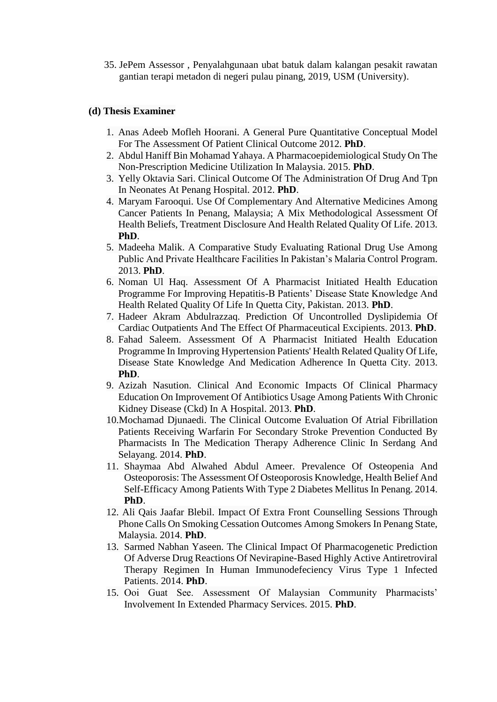35. [JePem Assessor , Penyalahgunaan ubat batuk dalam kalangan pesakit rawatan](https://hcmsv3.usm.my/index.php/C_Recognition/vwDetailSanjungan/162465/RCG)  [gantian terapi metadon di negeri pulau pinang, 2019, USM \(University\).](https://hcmsv3.usm.my/index.php/C_Recognition/vwDetailSanjungan/162465/RCG)

#### **(d) Thesis Examiner**

- 1. Anas Adeeb Mofleh Hoorani. A General Pure Quantitative Conceptual Model For The Assessment Of Patient Clinical Outcome 2012. **PhD**.
- 2. Abdul Haniff Bin Mohamad Yahaya. A Pharmacoepidemiological Study On The Non-Prescription Medicine Utilization In Malaysia. 2015. **PhD**.
- 3. Yelly Oktavia Sari. Clinical Outcome Of The Administration Of Drug And Tpn In Neonates At Penang Hospital. 2012. **PhD**.
- 4. Maryam Farooqui. Use Of Complementary And Alternative Medicines Among Cancer Patients In Penang, Malaysia; A Mix Methodological Assessment Of Health Beliefs, Treatment Disclosure And Health Related Quality Of Life. 2013. **PhD**.
- 5. Madeeha Malik. A Comparative Study Evaluating Rational Drug Use Among Public And Private Healthcare Facilities In Pakistan's Malaria Control Program. 2013. **PhD**.
- 6. Noman Ul Haq. Assessment Of A Pharmacist Initiated Health Education Programme For Improving Hepatitis-B Patients' Disease State Knowledge And Health Related Quality Of Life In Quetta City, Pakistan. 2013. **PhD**.
- 7. Hadeer Akram Abdulrazzaq. Prediction Of Uncontrolled Dyslipidemia Of Cardiac Outpatients And The Effect Of Pharmaceutical Excipients. 2013. **PhD**.
- 8. Fahad Saleem. Assessment Of A Pharmacist Initiated Health Education Programme In Improving Hypertension Patients' Health Related Quality Of Life, Disease State Knowledge And Medication Adherence In Quetta City. 2013. **PhD**.
- 9. Azizah Nasution. Clinical And Economic Impacts Of Clinical Pharmacy Education On Improvement Of Antibiotics Usage Among Patients With Chronic Kidney Disease (Ckd) In A Hospital. 2013. **PhD**.
- 10.Mochamad Djunaedi. The Clinical Outcome Evaluation Of Atrial Fibrillation Patients Receiving Warfarin For Secondary Stroke Prevention Conducted By Pharmacists In The Medication Therapy Adherence Clinic In Serdang And Selayang. 2014. **PhD**.
- 11. Shaymaa Abd Alwahed Abdul Ameer. Prevalence Of Osteopenia And Osteoporosis: The Assessment Of Osteoporosis Knowledge, Health Belief And Self-Efficacy Among Patients With Type 2 Diabetes Mellitus In Penang. 2014. **PhD**.
- 12. Ali Qais Jaafar Blebil. Impact Of Extra Front Counselling Sessions Through Phone Calls On Smoking Cessation Outcomes Among Smokers In Penang State, Malaysia. 2014. **PhD**.
- 13. Sarmed Nabhan Yaseen. The Clinical Impact Of Pharmacogenetic Prediction Of Adverse Drug Reactions Of Nevirapine-Based Highly Active Antiretroviral Therapy Regimen In Human Immunodefeciency Virus Type 1 Infected Patients. 2014. **PhD**.
- 15. Ooi Guat See. Assessment Of Malaysian Community Pharmacists' Involvement In Extended Pharmacy Services. 2015. **PhD**.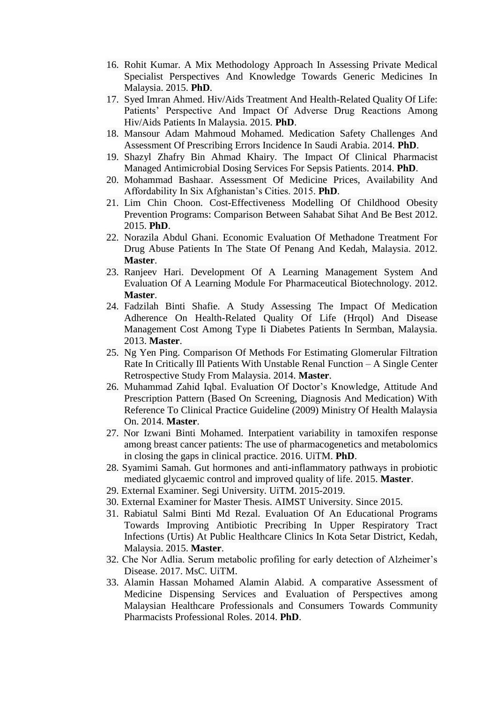- 16. Rohit Kumar. A Mix Methodology Approach In Assessing Private Medical Specialist Perspectives And Knowledge Towards Generic Medicines In Malaysia. 2015. **PhD**.
- 17. Syed Imran Ahmed. Hiv/Aids Treatment And Health-Related Quality Of Life: Patients' Perspective And Impact Of Adverse Drug Reactions Among Hiv/Aids Patients In Malaysia. 2015. **PhD**.
- 18. Mansour Adam Mahmoud Mohamed. Medication Safety Challenges And Assessment Of Prescribing Errors Incidence In Saudi Arabia. 2014. **PhD**.
- 19. Shazyl Zhafry Bin Ahmad Khairy. The Impact Of Clinical Pharmacist Managed Antimicrobial Dosing Services For Sepsis Patients. 2014. **PhD**.
- 20. Mohammad Bashaar. Assessment Of Medicine Prices, Availability And Affordability In Six Afghanistan's Cities. 2015. **PhD**.
- 21. Lim Chin Choon. Cost-Effectiveness Modelling Of Childhood Obesity Prevention Programs: Comparison Between Sahabat Sihat And Be Best 2012. 2015. **PhD**.
- 22. Norazila Abdul Ghani. Economic Evaluation Of Methadone Treatment For Drug Abuse Patients In The State Of Penang And Kedah, Malaysia. 2012. **Master**.
- 23. Ranjeev Hari. Development Of A Learning Management System And Evaluation Of A Learning Module For Pharmaceutical Biotechnology. 2012. **Master**.
- 24. Fadzilah Binti Shafie. A Study Assessing The Impact Of Medication Adherence On Health-Related Quality Of Life (Hrqol) And Disease Management Cost Among Type Ii Diabetes Patients In Sermban, Malaysia. 2013. **Master**.
- 25. Ng Yen Ping. Comparison Of Methods For Estimating Glomerular Filtration Rate In Critically Ill Patients With Unstable Renal Function – A Single Center Retrospective Study From Malaysia. 2014. **Master**.
- 26. Muhammad Zahid Iqbal. Evaluation Of Doctor's Knowledge, Attitude And Prescription Pattern (Based On Screening, Diagnosis And Medication) With Reference To Clinical Practice Guideline (2009) Ministry Of Health Malaysia On. 2014. **Master**.
- 27. Nor Izwani Binti Mohamed. Interpatient variability in tamoxifen response among breast cancer patients: The use of pharmacogenetics and metabolomics in closing the gaps in clinical practice. 2016. UiTM. **PhD**.
- 28. Syamimi Samah. Gut hormones and anti-inflammatory pathways in probiotic mediated glycaemic control and improved quality of life. 2015. **Master**.
- 29. External Examiner. Segi University. UiTM. 2015-2019.
- 30. External Examiner for Master Thesis. AIMST University. Since 2015.
- 31. Rabiatul Salmi Binti Md Rezal. Evaluation Of An Educational Programs Towards Improving Antibiotic Precribing In Upper Respiratory Tract Infections (Urtis) At Public Healthcare Clinics In Kota Setar District, Kedah, Malaysia. 2015. **Master**.
- 32. Che Nor Adlia. Serum metabolic profiling for early detection of Alzheimer's Disease. 2017. MsC. UiTM.
- 33. Alamin Hassan Mohamed Alamin Alabid. A comparative Assessment of Medicine Dispensing Services and Evaluation of Perspectives among Malaysian Healthcare Professionals and Consumers Towards Community Pharmacists Professional Roles. 2014. **PhD**.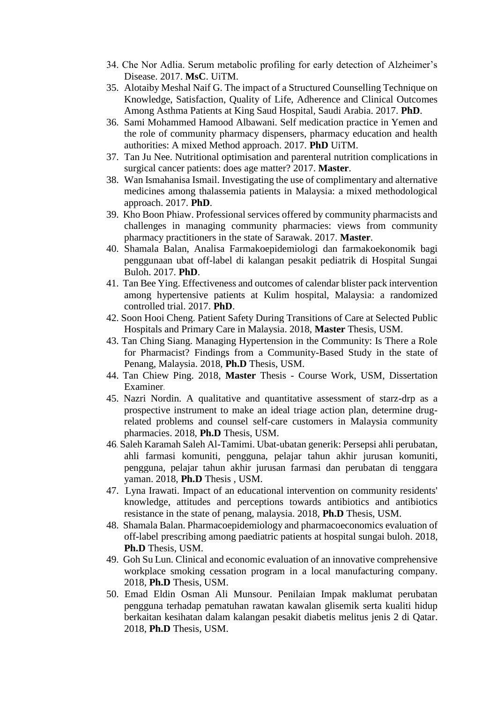- 34. Che Nor Adlia. Serum metabolic profiling for early detection of Alzheimer's Disease. 2017. **MsC**. UiTM.
- 35. Alotaiby Meshal Naif G. The impact of a Structured Counselling Technique on Knowledge, Satisfaction, Quality of Life, Adherence and Clinical Outcomes Among Asthma Patients at King Saud Hospital, Saudi Arabia. 2017. **PhD**.
- 36. Sami Mohammed Hamood Albawani. Self medication practice in Yemen and the role of community pharmacy dispensers, pharmacy education and health authorities: A mixed Method approach. 2017. **PhD** UiTM.
- 37. Tan Ju Nee. Nutritional optimisation and parenteral nutrition complications in surgical cancer patients: does age matter? 2017. **Master**.
- 38. Wan Ismahanisa Ismail. Investigating the use of complimentary and alternative medicines among thalassemia patients in Malaysia: a mixed methodological approach. 2017. **PhD**.
- 39. Kho Boon Phiaw. Professional services offered by community pharmacists and challenges in managing community pharmacies: views from community pharmacy practitioners in the state of Sarawak. 2017. **Master**.
- 40. Shamala Balan, Analisa Farmakoepidemiologi dan farmakoekonomik bagi penggunaan ubat off-label di kalangan pesakit pediatrik di Hospital Sungai Buloh. 2017. **PhD**.
- 41. Tan Bee Ying. Effectiveness and outcomes of calendar blister pack intervention among hypertensive patients at Kulim hospital, Malaysia: a randomized controlled trial. 2017. **PhD**.
- 42. [Soon Hooi Cheng. Patient Safety During Transitions of Care at Selected Public](https://hcmsv3.usm.my/index.php/C_Recognition/vwDetailSuntingan/5068582/RCG)  [Hospitals and Primary Care in Malaysia.](https://hcmsv3.usm.my/index.php/C_Recognition/vwDetailSuntingan/5068582/RCG) 2018, **Master** Thesis, USM.
- 43. [Tan Ching Siang. Managing Hypertension in the Community: Is There a Role](https://hcmsv3.usm.my/index.php/C_Recognition/vwDetailSuntingan/5068584/RCG)  [for Pharmacist? Findings from a Community-Based Study in the state of](https://hcmsv3.usm.my/index.php/C_Recognition/vwDetailSuntingan/5068584/RCG)  [Penang, Malaysia.](https://hcmsv3.usm.my/index.php/C_Recognition/vwDetailSuntingan/5068584/RCG) 2018, **Ph.D** Thesis, USM.
- 44. Tan Chiew Ping. 2018, **Master** Thesis [Course Work, USM, Dissertation](https://hcmsv3.usm.my/index.php/C_Recognition/vwDetailSuntingan/5068586/RCG)  [Examiner](https://hcmsv3.usm.my/index.php/C_Recognition/vwDetailSuntingan/5068586/RCG).
- 45. [Nazri Nordin. A qualitative and quantitative assessment of starz-drp as a](https://hcmsv3.usm.my/index.php/C_Recognition/vwDetailSuntingan/5068587/RCG)  [prospective instrument to make an ideal triage action plan, determine drug](https://hcmsv3.usm.my/index.php/C_Recognition/vwDetailSuntingan/5068587/RCG)[related problems and counsel self-care customers in Malaysia community](https://hcmsv3.usm.my/index.php/C_Recognition/vwDetailSuntingan/5068587/RCG)  [pharmacies.](https://hcmsv3.usm.my/index.php/C_Recognition/vwDetailSuntingan/5068587/RCG) 2018, **Ph.D** Thesis, USM.
- 46. [Saleh Karamah Saleh Al-Tamimi. Ubat-ubatan generik: Persepsi ahli perubatan,](https://hcmsv3.usm.my/index.php/C_Recognition/vwDetailSuntingan/5068588/RCG)  [ahli farmasi komuniti, pengguna, pelajar tahun akhir jurusan komuniti,](https://hcmsv3.usm.my/index.php/C_Recognition/vwDetailSuntingan/5068588/RCG)  [pengguna, pelajar tahun akhir jurusan farmasi dan perubatan di tenggara](https://hcmsv3.usm.my/index.php/C_Recognition/vwDetailSuntingan/5068588/RCG)  [yaman.](https://hcmsv3.usm.my/index.php/C_Recognition/vwDetailSuntingan/5068588/RCG) 2018, **Ph.D** Thesis , USM.
- 47. [Lyna Irawati. Impact of an educational intervention on community residents'](https://hcmsv3.usm.my/index.php/C_Recognition/vwDetailSuntingan/5068589/RCG)  [knowledge, attitudes and perceptions towards antibiotics and antibiotics](https://hcmsv3.usm.my/index.php/C_Recognition/vwDetailSuntingan/5068589/RCG)  [resistance in the state of penang, malaysia.](https://hcmsv3.usm.my/index.php/C_Recognition/vwDetailSuntingan/5068589/RCG) 2018, **Ph.D** Thesis, USM.
- 48. [Shamala Balan. Pharmacoepidemiology and pharmacoeconomics evaluation of](https://hcmsv3.usm.my/index.php/C_Recognition/vwDetailSuntingan/5068591/RCG)  [off-label prescribing among paediatric patients at hospital sungai buloh.](https://hcmsv3.usm.my/index.php/C_Recognition/vwDetailSuntingan/5068591/RCG) 2018, **Ph.D** Thesis, USM.
- 49. [Goh Su Lun. Clinical and economic evaluation of an innovative comprehensive](https://hcmsv3.usm.my/index.php/C_Recognition/vwDetailSuntingan/5068592/RCG)  [workplace smoking cessation program in a local manufacturing company.](https://hcmsv3.usm.my/index.php/C_Recognition/vwDetailSuntingan/5068592/RCG) 2018, **Ph.D** Thesis, USM.
- 50. [Emad Eldin Osman Ali Munsour. Penilaian Impak maklumat perubatan](https://hcmsv3.usm.my/index.php/C_Recognition/vwDetailSuntingan/5068596/RCG)  [pengguna terhadap pematuhan rawatan kawalan glisemik serta kualiti hidup](https://hcmsv3.usm.my/index.php/C_Recognition/vwDetailSuntingan/5068596/RCG)  [berkaitan kesihatan dalam kalangan pesakit diabetis melitus jenis 2 di Qatar.](https://hcmsv3.usm.my/index.php/C_Recognition/vwDetailSuntingan/5068596/RCG) 2018, **Ph.D** Thesis, USM.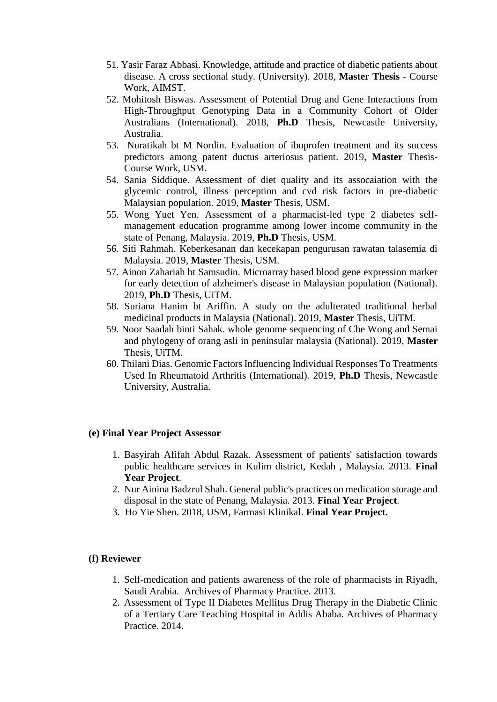- 51. [Yasir Faraz Abbasi. Knowledge, attitude and practice of diabetic patients about](https://hcmsv3.usm.my/index.php/C_Recognition/vwDetailSuntingan/5068593/RCG)  [disease. A cross sectional study. \(University\).](https://hcmsv3.usm.my/index.php/C_Recognition/vwDetailSuntingan/5068593/RCG) 2018, **Master Thesis** - Course Work, AIMST.
- 52. [Mohitosh Biswas. Assessment of Potential Drug and Gene Interactions from](https://hcmsv3.usm.my/index.php/C_Recognition/vwDetailSuntingan/5068600/RCG)  [High-Throughput Genotyping Data in a Community Cohort of Older](https://hcmsv3.usm.my/index.php/C_Recognition/vwDetailSuntingan/5068600/RCG)  [Australians \(International\).](https://hcmsv3.usm.my/index.php/C_Recognition/vwDetailSuntingan/5068600/RCG) 2018, **Ph.D** Thesis, Newcastle University, Australia.
- 53. [Nuratikah bt M Nordin. Evaluation of ibuprofen treatment and its success](https://hcmsv3.usm.my/index.php/C_Recognition/vwDetailSuntingan/5075609/RCG)  [predictors among patent ductus arteriosus patient.](https://hcmsv3.usm.my/index.php/C_Recognition/vwDetailSuntingan/5075609/RCG) 2019, **Master** Thesis-Course Work, USM.
- 54. Sania Siddique. [Assessment of diet quality and its assocaiation with the](https://hcmsv3.usm.my/index.php/C_Recognition/vwDetailSuntingan/5075610/RCG)  [glycemic control, illness perception and cvd risk factors in pre-diabetic](https://hcmsv3.usm.my/index.php/C_Recognition/vwDetailSuntingan/5075610/RCG)  [Malaysian population.](https://hcmsv3.usm.my/index.php/C_Recognition/vwDetailSuntingan/5075610/RCG) 2019, **Master** Thesis, USM.
- 55. [Wong Yuet Yen. Assessment of a pharmacist-led type 2 diabetes self](https://hcmsv3.usm.my/index.php/C_Recognition/vwDetailSuntingan/5075615/RCG)[management education programme among lower income community in the](https://hcmsv3.usm.my/index.php/C_Recognition/vwDetailSuntingan/5075615/RCG)  [state of Penang, Malaysia.](https://hcmsv3.usm.my/index.php/C_Recognition/vwDetailSuntingan/5075615/RCG) 2019, **Ph.D** Thesis, USM.
- 56. [Siti Rahmah. Keberkesanan dan kecekapan pengurusan rawatan talasemia di](https://hcmsv3.usm.my/index.php/C_Recognition/vwDetailSuntingan/5075620/RCG)  [Malaysia.](https://hcmsv3.usm.my/index.php/C_Recognition/vwDetailSuntingan/5075620/RCG) 2019, **Master** Thesis, USM.
- 57. [Ainon Zahariah bt Samsudin. Microarray based blood gene expression marker](https://hcmsv3.usm.my/index.php/C_Recognition/vwDetailSuntingan/5075604/RCG)  [for early detection of alzheimer's disease in Malaysian population \(National\).](https://hcmsv3.usm.my/index.php/C_Recognition/vwDetailSuntingan/5075604/RCG) 2019, **Ph.D** Thesis, UiTM.
- 58. [Suriana Hanim bt Ariffin. A study on the adulterated traditional herbal](https://hcmsv3.usm.my/index.php/C_Recognition/vwDetailSuntingan/5075607/RCG)  [medicinal products in Malaysia \(National\).](https://hcmsv3.usm.my/index.php/C_Recognition/vwDetailSuntingan/5075607/RCG) 2019, **Master** Thesis, UiTM.
- 59. [Noor Saadah binti Sahak. whole genome sequencing of Che Wong and Semai](https://hcmsv3.usm.my/index.php/C_Recognition/vwDetailSuntingan/5075613/RCG)  [and phylogeny of orang asli in peninsular malaysia \(National\).](https://hcmsv3.usm.my/index.php/C_Recognition/vwDetailSuntingan/5075613/RCG) 2019, **Master** Thesis, UiTM.
- 60. [Thilani Dias. Genomic Factors Influencing Individual Responses To Treatments](https://hcmsv3.usm.my/index.php/C_Recognition/vwDetailSuntingan/5075616/RCG)  [Used In Rheumatoid Arthritis \(International\).](https://hcmsv3.usm.my/index.php/C_Recognition/vwDetailSuntingan/5075616/RCG) 2019, **Ph.D** Thesis, Newcastle University, Australia.

#### **(e) Final Year Project Assessor**

- 1. Basyirah Afifah Abdul Razak. Assessment of patients' satisfaction towards public healthcare services in Kulim district, Kedah , Malaysia. 2013. **Final Year Project**.
- 2. Nur Ainina Badzrul Shah. General public's practices on medication storage and disposal in the state of Penang, Malaysia. 2013. **Final Year Project**.
- 3. [Ho Yie Shen. 2018, USM, Farmasi Klinikal.](https://hcmsv3.usm.my/index.php/C_Recognition/vwDetailSuntingan/5068594/RCG) **Final Year Project.**

#### **(f) Reviewer**

- 1. Self-medication and patients awareness of the role of pharmacists in Riyadh, Saudi Arabia. Archives of Pharmacy Practice. 2013.
- 2. Assessment of Type II Diabetes Mellitus Drug Therapy in the Diabetic Clinic of a Tertiary Care Teaching Hospital in Addis Ababa. Archives of Pharmacy Practice. 2014.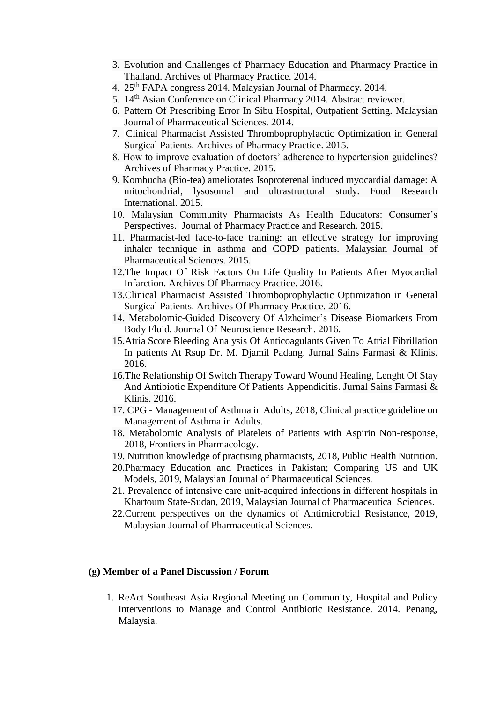- 3. Evolution and Challenges of Pharmacy Education and Pharmacy Practice in Thailand. Archives of Pharmacy Practice. 2014.
- 4. 25th FAPA congress 2014. Malaysian Journal of Pharmacy. 2014.
- 5. 14th Asian Conference on Clinical Pharmacy 2014. Abstract reviewer.
- 6. Pattern Of Prescribing Error In Sibu Hospital, Outpatient Setting. Malaysian Journal of Pharmaceutical Sciences. 2014.
- 7. Clinical Pharmacist Assisted Thromboprophylactic Optimization in General Surgical Patients. Archives of Pharmacy Practice. 2015.
- 8. How to improve evaluation of doctors' adherence to hypertension guidelines? Archives of Pharmacy Practice. 2015.
- 9. Kombucha (Bio-tea) ameliorates Isoproterenal induced myocardial damage: A mitochondrial, lysosomal and ultrastructural study. Food Research International. 2015.
- 10. Malaysian Community Pharmacists As Health Educators: Consumer's Perspectives. Journal of Pharmacy Practice and Research. 2015.
- 11. Pharmacist-led face-to-face training: an effective strategy for improving inhaler technique in asthma and COPD patients. Malaysian Journal of Pharmaceutical Sciences. 2015.
- 12.The Impact Of Risk Factors On Life Quality In Patients After Myocardial Infarction. Archives Of Pharmacy Practice. 2016.
- 13.Clinical Pharmacist Assisted Thromboprophylactic Optimization in General Surgical Patients. Archives Of Pharmacy Practice. 2016.
- 14. Metabolomic-Guided Discovery Of Alzheimer's Disease Biomarkers From Body Fluid. Journal Of Neuroscience Research. 2016.
- 15.Atria Score Bleeding Analysis Of Anticoagulants Given To Atrial Fibrillation In patients At Rsup Dr. M. Djamil Padang. Jurnal Sains Farmasi & Klinis. 2016.
- 16.The Relationship Of Switch Therapy Toward Wound Healing, Lenght Of Stay And Antibiotic Expenditure Of Patients Appendicitis. Jurnal Sains Farmasi & Klinis. 2016.
- 17. CPG [Management of Asthma in Adults, 2018, Clinical practice guideline on](https://hcmsv3.usm.my/index.php/C_Recognition/vwDetailSanjungan/148806/RCG)  [Management of Asthma in Adults.](https://hcmsv3.usm.my/index.php/C_Recognition/vwDetailSanjungan/148806/RCG)
- 18. [Metabolomic Analysis of Platelets of Patients with Aspirin Non-response,](https://hcmsv3.usm.my/index.php/C_Recognition/vwDetailSanjungan/148831/RCG)  [2018, Frontiers in Pharmacology.](https://hcmsv3.usm.my/index.php/C_Recognition/vwDetailSanjungan/148831/RCG)
- 19. [Nutrition knowledge of practising pharmacists, 2018, Public Health Nutrition.](https://hcmsv3.usm.my/index.php/C_Recognition/vwDetailSanjungan/148840/RCG)
- 20[.Pharmacy Education and Practices in Pakistan; Comparing US and](https://hcmsv3.usm.my/index.php/C_Recognition/vwDetailSanjungan/162467/RCG) UK [Models, 2019, Malaysian Journal of Pharmaceutical Sciences](https://hcmsv3.usm.my/index.php/C_Recognition/vwDetailSanjungan/162467/RCG).
- 21. [Prevalence of intensive care unit-acquired infections in different hospitals in](https://hcmsv3.usm.my/index.php/C_Recognition/vwDetailSanjungan/162469/RCG)  [Khartoum State-Sudan, 2019, Malaysian Journal of Pharmaceutical Sciences.](https://hcmsv3.usm.my/index.php/C_Recognition/vwDetailSanjungan/162469/RCG)
- 22[.Current perspectives on the dynamics of Antimicrobial Resistance, 2019,](https://hcmsv3.usm.my/index.php/C_Recognition/vwDetailSanjungan/162470/RCG)  [Malaysian Journal of Pharmaceutical Sciences.](https://hcmsv3.usm.my/index.php/C_Recognition/vwDetailSanjungan/162470/RCG)

#### **(g) Member of a Panel Discussion / Forum**

1. ReAct Southeast Asia Regional Meeting on Community, Hospital and Policy Interventions to Manage and Control Antibiotic Resistance. 2014. Penang, Malaysia.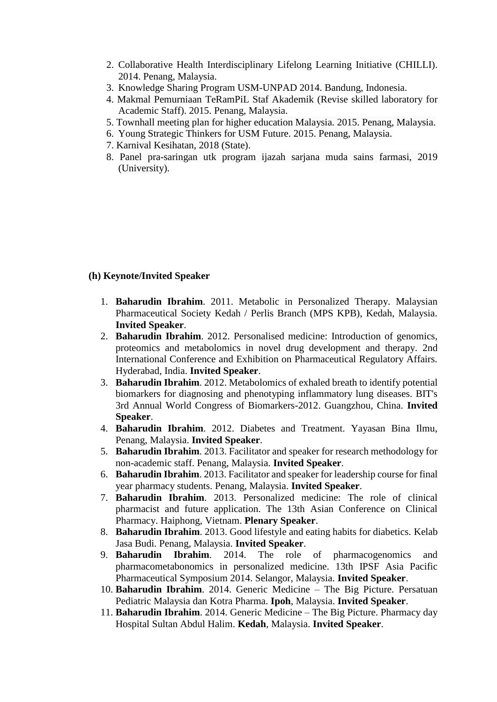- 2. Collaborative Health Interdisciplinary Lifelong Learning Initiative (CHILLI). 2014. Penang, Malaysia.
- 3. Knowledge Sharing Program USM-UNPAD 2014. Bandung, Indonesia.
- 4. Makmal Pemurniaan TeRamPiL Staf Akademik (Revise skilled laboratory for Academic Staff). 2015. Penang, Malaysia.
- 5. Townhall meeting plan for higher education Malaysia. 2015. Penang, Malaysia.
- 6. Young Strategic Thinkers for USM Future. 2015. Penang, Malaysia.
- 7. [Karnival Kesihatan, 2018 \(State\).](https://hcmsv3.usm.my/index.php/C_Recognition/vwDetailSanjungan/148821/RCG)
- 8. [Panel pra-saringan utk program ijazah sarjana muda sains farmasi, 2019](https://hcmsv3.usm.my/index.php/C_Recognition/vwDetailSanjungan/162444/RCG)  [\(University\).](https://hcmsv3.usm.my/index.php/C_Recognition/vwDetailSanjungan/162444/RCG)

#### **(h) Keynote/Invited Speaker**

- 1. **Baharudin Ibrahim**. 2011. Metabolic in Personalized Therapy. Malaysian Pharmaceutical Society Kedah / Perlis Branch (MPS KPB), Kedah, Malaysia. **Invited Speaker**.
- 2. **Baharudin Ibrahim**. 2012. Personalised medicine: Introduction of genomics, proteomics and metabolomics in novel drug development and therapy. 2nd International Conference and Exhibition on Pharmaceutical Regulatory Affairs. Hyderabad, India. **Invited Speaker**.
- 3. **Baharudin Ibrahim**. 2012. Metabolomics of exhaled breath to identify potential biomarkers for diagnosing and phenotyping inflammatory lung diseases. BIT's 3rd Annual World Congress of Biomarkers-2012. Guangzhou, China. **Invited Speaker**.
- 4. **Baharudin Ibrahim**. 2012. Diabetes and Treatment. Yayasan Bina Ilmu, Penang, Malaysia. **Invited Speaker**.
- 5. **Baharudin Ibrahim**. 2013. Facilitator and speaker for research methodology for non-academic staff. Penang, Malaysia. **Invited Speaker**.
- 6. **Baharudin Ibrahim**. 2013. Facilitator and speaker for leadership course for final year pharmacy students. Penang, Malaysia. **Invited Speaker**.
- 7. **Baharudin Ibrahim**. 2013. Personalized medicine: The role of clinical pharmacist and future application. The 13th Asian Conference on Clinical Pharmacy. Haiphong, Vietnam. **Plenary Speaker**.
- 8. **Baharudin Ibrahim**. 2013. Good lifestyle and eating habits for diabetics. Kelab Jasa Budi. Penang, Malaysia. **Invited Speaker**.
- 9. **Baharudin Ibrahim**. 2014. The role of pharmacogenomics and pharmacometabonomics in personalized medicine. 13th IPSF Asia Pacific Pharmaceutical Symposium 2014. Selangor, Malaysia. **Invited Speaker**.
- 10. **Baharudin Ibrahim**. 2014. Generic Medicine The Big Picture. Persatuan Pediatric Malaysia dan Kotra Pharma. **Ipoh**, Malaysia. **Invited Speaker**.
- 11. **Baharudin Ibrahim**. 2014. Generic Medicine The Big Picture. Pharmacy day Hospital Sultan Abdul Halim. **Kedah**, Malaysia. **Invited Speaker**.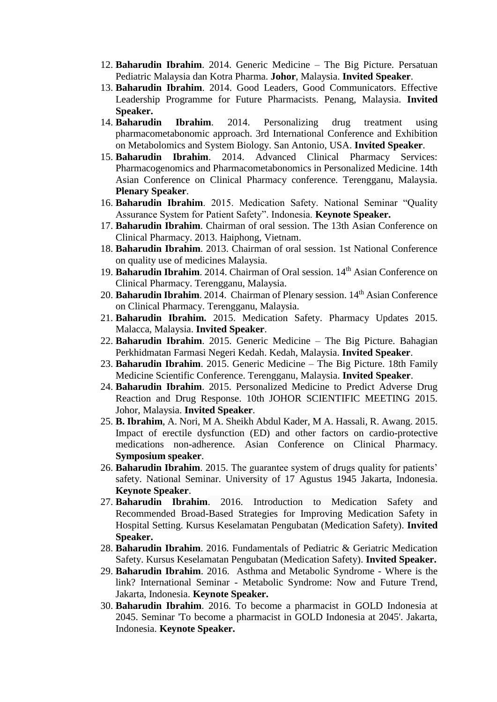- 12. **Baharudin Ibrahim**. 2014. Generic Medicine The Big Picture. Persatuan Pediatric Malaysia dan Kotra Pharma. **Johor**, Malaysia. **Invited Speaker**.
- 13. **Baharudin Ibrahim**. 2014. Good Leaders, Good Communicators. Effective Leadership Programme for Future Pharmacists. Penang, Malaysia. **Invited Speaker.**
- 14. **Baharudin Ibrahim**. 2014. Personalizing drug treatment using pharmacometabonomic approach. 3rd International Conference and Exhibition on Metabolomics and System Biology. San Antonio, USA. **Invited Speaker**.
- 15. **Baharudin Ibrahim**. 2014. Advanced Clinical Pharmacy Services: Pharmacogenomics and Pharmacometabonomics in Personalized Medicine. 14th Asian Conference on Clinical Pharmacy conference. Terengganu, Malaysia. **Plenary Speaker**.
- 16. **Baharudin Ibrahim**. 2015. Medication Safety. National Seminar "Quality Assurance System for Patient Safety". Indonesia. **Keynote Speaker.**
- 17. **Baharudin Ibrahim**. Chairman of oral session. The 13th Asian Conference on Clinical Pharmacy. 2013. Haiphong, Vietnam.
- 18. **Baharudin Ibrahim**. 2013. Chairman of oral session. 1st National Conference on quality use of medicines Malaysia.
- 19. **Baharudin Ibrahim**. 2014. Chairman of Oral session. 14<sup>th</sup> Asian Conference on Clinical Pharmacy. Terengganu, Malaysia.
- 20. **Baharudin Ibrahim**. 2014. Chairman of Plenary session. 14<sup>th</sup> Asian Conference on Clinical Pharmacy. Terengganu, Malaysia.
- 21. **Baharudin Ibrahim.** 2015. Medication Safety. Pharmacy Updates 2015. Malacca, Malaysia. **Invited Speaker**.
- 22. **Baharudin Ibrahim**. 2015. Generic Medicine The Big Picture. Bahagian Perkhidmatan Farmasi Negeri Kedah. Kedah, Malaysia. **Invited Speaker**.
- 23. **Baharudin Ibrahim**. 2015. Generic Medicine The Big Picture. 18th Family Medicine Scientific Conference. Terengganu, Malaysia. **Invited Speaker**.
- 24. **Baharudin Ibrahim**. 2015. Personalized Medicine to Predict Adverse Drug Reaction and Drug Response. 10th JOHOR SCIENTIFIC MEETING 2015. Johor, Malaysia. **Invited Speaker**.
- 25. **B. Ibrahim**, A. Nori, M A. Sheikh Abdul Kader, M A. Hassali, R. Awang. 2015. Impact of erectile dysfunction (ED) and other factors on cardio-protective medications non-adherence. Asian Conference on Clinical Pharmacy. **Symposium speaker**.
- 26. **Baharudin Ibrahim**. 2015. The guarantee system of drugs quality for patients' safety. National Seminar. University of 17 Agustus 1945 Jakarta, Indonesia. **Keynote Speaker**.
- 27. **Baharudin Ibrahim**. 2016. Introduction to Medication Safety and Recommended Broad-Based Strategies for Improving Medication Safety in Hospital Setting. Kursus Keselamatan Pengubatan (Medication Safety). **Invited Speaker.**
- 28. **Baharudin Ibrahim**. 2016. Fundamentals of Pediatric & Geriatric Medication Safety. Kursus Keselamatan Pengubatan (Medication Safety). **Invited Speaker.**
- 29. **Baharudin Ibrahim**. 2016. Asthma and Metabolic Syndrome Where is the link? International Seminar - Metabolic Syndrome: Now and Future Trend, Jakarta, Indonesia. **Keynote Speaker.**
- 30. **Baharudin Ibrahim**. 2016. To become a pharmacist in GOLD Indonesia at 2045. Seminar 'To become a pharmacist in GOLD Indonesia at 2045'. Jakarta, Indonesia. **Keynote Speaker.**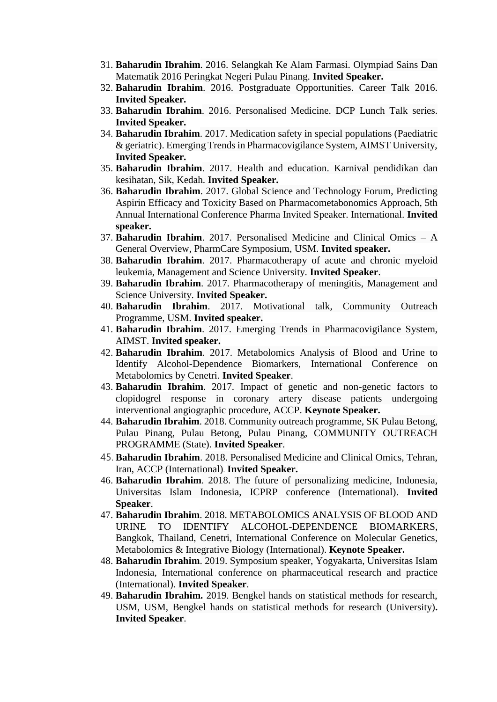- 31. **Baharudin Ibrahim**. 2016. Selangkah Ke Alam Farmasi. Olympiad Sains Dan Matematik 2016 Peringkat Negeri Pulau Pinang. **Invited Speaker.**
- 32. **Baharudin Ibrahim**. 2016. Postgraduate Opportunities. Career Talk 2016. **Invited Speaker.**
- 33. **Baharudin Ibrahim**. 2016. Personalised Medicine. DCP Lunch Talk series. **Invited Speaker.**
- 34. **Baharudin Ibrahim**. 2017. Medication safety in special populations (Paediatric & geriatric). Emerging Trends in Pharmacovigilance System, AIMST University, **Invited Speaker.**
- 35. **Baharudin Ibrahim**. 2017. Health and education. Karnival pendidikan dan kesihatan, Sik, Kedah. **Invited Speaker.**
- 36. **Baharudin Ibrahim**. 2017. Global Science and Technology Forum, Predicting Aspirin Efficacy and Toxicity Based on Pharmacometabonomics Approach, 5th Annual International Conference Pharma Invited Speaker. International. **Invited speaker.**
- 37. **Baharudin Ibrahim**. 2017. Personalised Medicine and Clinical Omics A General Overview, PharmCare Symposium, USM. **Invited speaker.**
- 38. **Baharudin Ibrahim**. 2017. Pharmacotherapy of acute and chronic myeloid leukemia, Management and Science University. **Invited Speaker**.
- 39. **Baharudin Ibrahim**. 2017. Pharmacotherapy of meningitis, Management and Science University. **Invited Speaker.**
- 40. **Baharudin Ibrahim**. 2017. Motivational talk, Community Outreach Programme, USM. **Invited speaker.**
- 41. **Baharudin Ibrahim**. 2017. Emerging Trends in Pharmacovigilance System, AIMST. **Invited speaker.**
- 42. **Baharudin Ibrahim**. 2017. Metabolomics Analysis of Blood and Urine to Identify Alcohol-Dependence Biomarkers, International Conference on Metabolomics by Cenetri. **Invited Speaker**.
- 43. **Baharudin Ibrahim**. 2017. Impact of genetic and non-genetic factors to clopidogrel response in coronary artery disease patients undergoing interventional angiographic procedure, ACCP. **Keynote Speaker.**
- 44. **Baharudin Ibrahim**[. 2018. Community outreach programme, SK Pulau Betong,](https://hcmsv3.usm.my/index.php/C_Recognition/vwDetailSanjungan/148819/RCG)  [Pulau Pinang, Pulau Betong, Pulau Pinang, COMMUNITY OUTREACH](https://hcmsv3.usm.my/index.php/C_Recognition/vwDetailSanjungan/148819/RCG)  [PROGRAMME \(State\).](https://hcmsv3.usm.my/index.php/C_Recognition/vwDetailSanjungan/148819/RCG) **Invited Speaker**.
- 45. **Baharudin Ibrahim**. [2018. Personalised Medicine and Clinical Omics, Tehran,](https://hcmsv3.usm.my/index.php/C_Recognition/vwDetailSanjungan/148822/RCG)  [Iran, ACCP \(International\)](https://hcmsv3.usm.my/index.php/C_Recognition/vwDetailSanjungan/148822/RCG). **Invited Speaker.**
- 46. **Baharudin Ibrahim**. [2018. The future of personalizing medicine, Indonesia,](https://hcmsv3.usm.my/index.php/C_Recognition/vwDetailSanjungan/148825/RCG)  [Universitas Islam Indonesia, ICPRP conference \(International\).](https://hcmsv3.usm.my/index.php/C_Recognition/vwDetailSanjungan/148825/RCG) **Invited Speaker**.
- 47. **Baharudin Ibrahim**. [2018. METABOLOMICS ANALYSIS OF BLOOD AND](https://hcmsv3.usm.my/index.php/C_Recognition/vwDetailSanjungan/148815/RCG)  [URINE TO IDENTIFY ALCOHOL-DEPENDENCE BIOMARKERS,](https://hcmsv3.usm.my/index.php/C_Recognition/vwDetailSanjungan/148815/RCG)  [Bangkok, Thailand, Cenetri, International Conference on Molecular Genetics,](https://hcmsv3.usm.my/index.php/C_Recognition/vwDetailSanjungan/148815/RCG)  [Metabolomics & Integrative Biology \(International\).](https://hcmsv3.usm.my/index.php/C_Recognition/vwDetailSanjungan/148815/RCG) **Keynote Speaker.**
- 48. **Baharudin Ibrahim**. [2019. Symposium speaker, Yogyakarta, Universitas Islam](https://hcmsv3.usm.my/index.php/C_Recognition/vwDetailSanjungan/162436/RCG)  [Indonesia, International conference on pharmaceutical research and practice](https://hcmsv3.usm.my/index.php/C_Recognition/vwDetailSanjungan/162436/RCG)  [\(International\).](https://hcmsv3.usm.my/index.php/C_Recognition/vwDetailSanjungan/162436/RCG) **Invited Speaker**.
- 49. **Baharudin Ibrahim.** [2019. Bengkel hands on statistical methods for research,](https://hcmsv3.usm.my/index.php/C_Recognition/vwDetailSanjungan/162442/RCG)  [USM, USM, Bengkel hands on statistical methods for research \(University\)](https://hcmsv3.usm.my/index.php/C_Recognition/vwDetailSanjungan/162442/RCG)**. Invited Speaker**.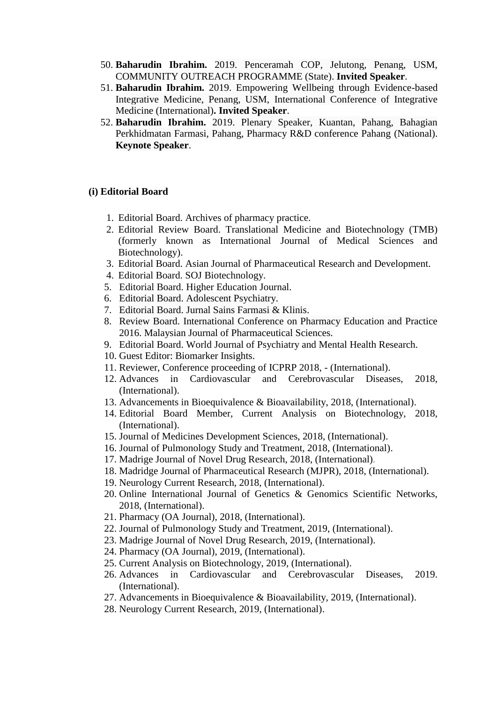- 50. **Baharudin Ibrahim.** [2019. Penceramah COP, Jelutong, Penang, USM,](https://hcmsv3.usm.my/index.php/C_Recognition/vwDetailSanjungan/162445/RCG)  [COMMUNITY OUTREACH PROGRAMME \(State\).](https://hcmsv3.usm.my/index.php/C_Recognition/vwDetailSanjungan/162445/RCG) **Invited Speaker**.
- 51. **Baharudin Ibrahim.** [2019. Empowering Wellbeing through Evidence-based](https://hcmsv3.usm.my/index.php/C_Recognition/vwDetailSanjungan/162454/RCG)  [Integrative Medicine, Penang, USM, International Conference of Integrative](https://hcmsv3.usm.my/index.php/C_Recognition/vwDetailSanjungan/162454/RCG)  [Medicine \(International\)](https://hcmsv3.usm.my/index.php/C_Recognition/vwDetailSanjungan/162454/RCG)**. Invited Speaker**.
- 52. **Baharudin Ibrahim.** [2019. Plenary Speaker, Kuantan, Pahang, Bahagian](https://hcmsv3.usm.my/index.php/C_Recognition/vwDetailSanjungan/162427/RCG)  [Perkhidmatan Farmasi, Pahang, Pharmacy R&D conference Pahang \(National\).](https://hcmsv3.usm.my/index.php/C_Recognition/vwDetailSanjungan/162427/RCG) **Keynote Speaker**.

#### **(i) Editorial Board**

- 1. Editorial Board. Archives of pharmacy practice.
- 2. Editorial Review Board. Translational Medicine and Biotechnology (TMB) (formerly known as International Journal of Medical Sciences and Biotechnology).
- 3. Editorial Board. Asian Journal of Pharmaceutical Research and Development.
- 4. Editorial Board. SOJ Biotechnology.
- 5. Editorial Board. Higher Education Journal.
- 6. Editorial Board. Adolescent Psychiatry.
- 7. Editorial Board. Jurnal Sains Farmasi & Klinis.
- 8. Review Board. International Conference on Pharmacy Education and Practice 2016. Malaysian Journal of Pharmaceutical Sciences.
- 9. Editorial Board. World Journal of Psychiatry and Mental Health Research.
- 10. Guest Editor: Biomarker Insights.
- 11. Reviewer, [Conference proceeding of ICPRP 2018, -](https://hcmsv3.usm.my/index.php/C_Recognition/vwDetailSanjungan/148826/RCG) (International).
- 12. [Advances in Cardiovascular and Cerebrovascular Diseases, 2018,](https://hcmsv3.usm.my/index.php/C_Recognition/vwDetailSanjungan/148828/RCG)  [\(International\).](https://hcmsv3.usm.my/index.php/C_Recognition/vwDetailSanjungan/148828/RCG)
- 13. [Advancements in Bioequivalence & Bioavailability, 2018, \(International\).](https://hcmsv3.usm.my/index.php/C_Recognition/vwDetailSanjungan/148829/RCG)
- 14. [Editorial Board Member, Current Analysis on Biotechnology, 2018,](https://hcmsv3.usm.my/index.php/C_Recognition/vwDetailSanjungan/148830/RCG)  [\(International\).](https://hcmsv3.usm.my/index.php/C_Recognition/vwDetailSanjungan/148830/RCG)
- 15. [Journal of Medicines Development Sciences, 2018, \(International\).](https://hcmsv3.usm.my/index.php/C_Recognition/vwDetailSanjungan/148833/RCG)
- 16. [Journal of Pulmonology Study and Treatment, 2018, \(International\).](https://hcmsv3.usm.my/index.php/C_Recognition/vwDetailSanjungan/148834/RCG)
- 17. [Madrige Journal of Novel Drug Research, 2018, \(International\)](https://hcmsv3.usm.my/index.php/C_Recognition/vwDetailSanjungan/148836/RCG).
- 18. [Madridge Journal of Pharmaceutical Research \(MJPR\), 2018, \(International\).](https://hcmsv3.usm.my/index.php/C_Recognition/vwDetailSanjungan/148837/RCG)
- 19. [Neurology Current Research, 2018, \(International\).](https://hcmsv3.usm.my/index.php/C_Recognition/vwDetailSanjungan/148838/RCG)
- 20. [Online International Journal of Genetics & Genomics Scientific Networks,](https://hcmsv3.usm.my/index.php/C_Recognition/vwDetailSanjungan/148839/RCG)  [2018, \(International\).](https://hcmsv3.usm.my/index.php/C_Recognition/vwDetailSanjungan/148839/RCG)
- 21. [Pharmacy \(OA Journal\), 2018, \(International\).](https://hcmsv3.usm.my/index.php/C_Recognition/vwDetailSanjungan/148841/RCG)
- 22. [Journal of Pulmonology Study and Treatment, 2019, \(International\).](https://hcmsv3.usm.my/index.php/C_Recognition/vwDetailSanjungan/162471/RCG)
- 23. [Madrige Journal of Novel Drug Research, 2019, \(International\).](https://hcmsv3.usm.my/index.php/C_Recognition/vwDetailSanjungan/162472/RCG)
- 24. [Pharmacy \(OA Journal\), 2019, \(International\).](https://hcmsv3.usm.my/index.php/C_Recognition/vwDetailSanjungan/162473/RCG)
- 25. [Current Analysis on Biotechnology, 2019, \(International\).](https://hcmsv3.usm.my/index.php/C_Recognition/vwDetailSanjungan/162474/RCG)
- 26. [Advances in Cardiovascular and Cerebrovascular Diseases, 2019.](https://hcmsv3.usm.my/index.php/C_Recognition/vwDetailSanjungan/162475/RCG)  [\(International\).](https://hcmsv3.usm.my/index.php/C_Recognition/vwDetailSanjungan/162475/RCG)
- 27. [Advancements in Bioequivalence & Bioavailability, 2019, \(International\).](https://hcmsv3.usm.my/index.php/C_Recognition/vwDetailSanjungan/162476/RCG)
- 28. [Neurology Current Research, 2019, \(International\).](https://hcmsv3.usm.my/index.php/C_Recognition/vwDetailSanjungan/162477/RCG)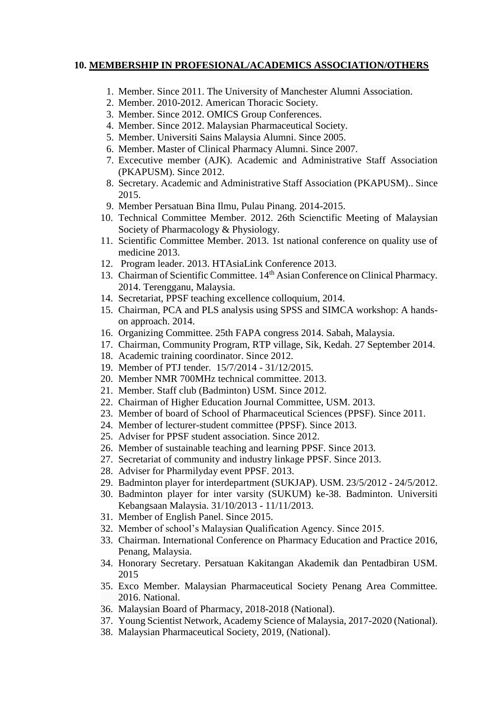## **10. MEMBERSHIP IN PROFESIONAL/ACADEMICS ASSOCIATION/OTHERS**

- 1. Member. Since 2011. The University of Manchester Alumni Association.
- 2. Member. 2010-2012. American Thoracic Society.
- 3. Member. Since 2012. OMICS Group Conferences.
- 4. Member. Since 2012. Malaysian Pharmaceutical Society.
- 5. Member. Universiti Sains Malaysia Alumni. Since 2005.
- 6. Member. Master of Clinical Pharmacy Alumni. Since 2007.
- 7. Excecutive member (AJK). Academic and Administrative Staff Association (PKAPUSM). Since 2012.
- 8. Secretary. Academic and Administrative Staff Association (PKAPUSM).. Since 2015.
- 9. Member Persatuan Bina Ilmu, Pulau Pinang. 2014-2015.
- 10. Technical Committee Member. 2012. 26th Scienctific Meeting of Malaysian Society of Pharmacology & Physiology.
- 11. Scientific Committee Member. 2013. 1st national conference on quality use of medicine 2013.
- 12. Program leader. 2013. HTAsiaLink Conference 2013.
- 13. Chairman of Scientific Committee. 14<sup>th</sup> Asian Conference on Clinical Pharmacy. 2014. Terengganu, Malaysia.
- 14. Secretariat, PPSF teaching excellence colloquium, 2014.
- 15. Chairman, PCA and PLS analysis using SPSS and SIMCA workshop: A handson approach. 2014.
- 16. Organizing Committee. 25th FAPA congress 2014. Sabah, Malaysia.
- 17. Chairman, Community Program, RTP village, Sik, Kedah. 27 September 2014.
- 18. Academic training coordinator. Since 2012.
- 19. Member of PTJ tender. 15/7/2014 31/12/2015.
- 20. Member NMR 700MHz technical committee. 2013.
- 21. Member. Staff club (Badminton) USM. Since 2012.
- 22. Chairman of Higher Education Journal Committee, USM. 2013.
- 23. Member of board of School of Pharmaceutical Sciences (PPSF). Since 2011.
- 24. Member of lecturer-student committee (PPSF). Since 2013.
- 25. Adviser for PPSF student association. Since 2012.
- 26. Member of sustainable teaching and learning PPSF. Since 2013.
- 27. Secretariat of community and industry linkage PPSF. Since 2013.
- 28. Adviser for Pharmilyday event PPSF. 2013.
- 29. Badminton player for interdepartment (SUKJAP). USM. 23/5/2012 24/5/2012.
- 30. Badminton player for inter varsity (SUKUM) ke-38. Badminton. Universiti Kebangsaan Malaysia. 31/10/2013 - 11/11/2013.
- 31. Member of English Panel. Since 2015.
- 32. Member of school's Malaysian Qualification Agency. Since 2015.
- 33. Chairman. International Conference on Pharmacy Education and Practice 2016, Penang, Malaysia.
- 34. Honorary Secretary. Persatuan Kakitangan Akademik dan Pentadbiran USM. 2015
- 35. Exco Member. Malaysian Pharmaceutical Society Penang Area Committee. 2016. National.
- 36. [Malaysian Board of Pharmacy, 2018-2018 \(National\).](https://hcmsv3.usm.my/index.php/C_Recognition/vwDetailSanjungan/148820/RCG)
- 37. [Young Scientist Network, Academy Science of Malaysia, 2017-2020 \(National\).](https://hcmsv3.usm.my/index.php/C_Recognition/vwDetailSanjungan/148827/RCG)
- 38. [Malaysian Pharmaceutical Society, 2019, \(National\).](https://hcmsv3.usm.my/index.php/C_Recognition/vwDetailSanjungan/162448/RCG)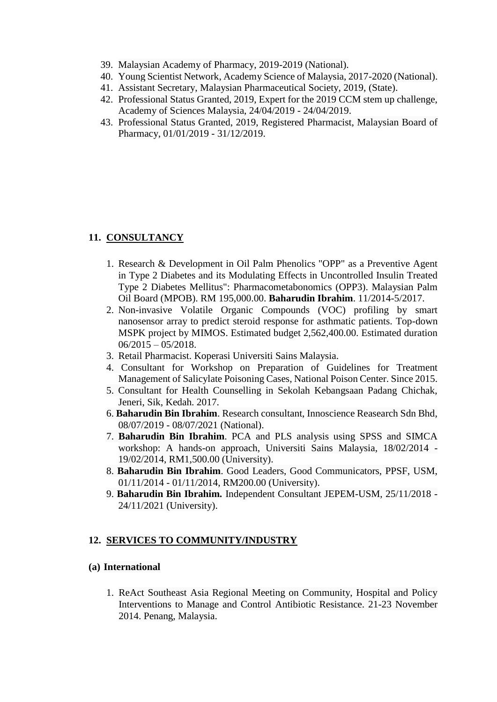- 39. [Malaysian Academy of Pharmacy, 2019-2019 \(National\).](https://hcmsv3.usm.my/index.php/C_Recognition/vwDetailSanjungan/162449/RCG)
- 40. [Young Scientist Network, Academy Science of Malaysia, 2017-2020 \(National\).](https://hcmsv3.usm.my/index.php/C_Recognition/vwDetailSanjungan/162450/RCG)
- 41. [Assistant Secretary, Malaysian Pharmaceutical Society, 2019, \(State\).](https://hcmsv3.usm.my/index.php/C_Recognition/vwDetailSanjungan/162686/RCG)
- 42. Professional Status [Granted, 2019, Expert for the 2019 CCM stem up challenge,](https://hcmsv3.usm.my/index.php/C_Recognition/vwDetailSanjungan/162428/RCG)  [Academy of Sciences Malaysia, 24/04/2019 -](https://hcmsv3.usm.my/index.php/C_Recognition/vwDetailSanjungan/162428/RCG) 24/04/2019.
- 43. [Professional Status Granted, 2019, Registered](https://hcmsv3.usm.my/index.php/C_Recognition/vwDetailSanjungan/162447/RCG) Pharmacist, Malaysian Board of [Pharmacy, 01/01/2019 -](https://hcmsv3.usm.my/index.php/C_Recognition/vwDetailSanjungan/162447/RCG) 31/12/2019.

## **11. CONSULTANCY**

- 1. Research & Development in Oil Palm Phenolics "OPP" as a Preventive Agent in Type 2 Diabetes and its Modulating Effects in Uncontrolled Insulin Treated Type 2 Diabetes Mellitus": Pharmacometabonomics (OPP3). Malaysian Palm Oil Board (MPOB). RM 195,000.00. **Baharudin Ibrahim**. 11/2014-5/2017.
- 2. Non-invasive Volatile Organic Compounds (VOC) profiling by smart nanosensor array to predict steroid response for asthmatic patients. Top-down MSPK project by MIMOS. Estimated budget 2,562,400.00. Estimated duration  $06/2015 - 05/2018$ .
- 3. Retail Pharmacist. Koperasi Universiti Sains Malaysia.
- 4. Consultant for Workshop on Preparation of Guidelines for Treatment Management of Salicylate Poisoning Cases, National Poison Center. Since 2015.
- 5. Consultant for Health Counselling in Sekolah Kebangsaan Padang Chichak, Jeneri, Sik, Kedah. 2017.
- 6. **Baharudin Bin Ibrahim**[. Research consultant, Innoscience Reasearch Sdn Bhd,](https://hcmsv3.usm.my/index.php/C_Consultancy/detail/5031174)  08/07/2019 - [08/07/2021 \(National\).](https://hcmsv3.usm.my/index.php/C_Consultancy/detail/5031174)
- 7. **Baharudin Bin Ibrahim**[. PCA and PLS analysis using SPSS and SIMCA](https://hcmsv3.usm.my/index.php/C_Consultancy/detail/7598)  [workshop: A hands-on approach, Universiti Sains Malaysia, 18/02/2014 -](https://hcmsv3.usm.my/index.php/C_Consultancy/detail/7598) [19/02/2014, RM1,500.00 \(University\).](https://hcmsv3.usm.my/index.php/C_Consultancy/detail/7598)
- 8. **Baharudin Bin Ibrahim**[. Good Leaders, Good Communicators, PPSF, USM,](https://hcmsv3.usm.my/index.php/C_Consultancy/detail/7619)  01/11/2014 - [01/11/2014, RM200.00 \(University\).](https://hcmsv3.usm.my/index.php/C_Consultancy/detail/7619)
- 9. **Baharudin Bin Ibrahim.** [Independent Consultant JEPEM-USM, 25/11/2018 -](https://hcmsv3.usm.my/index.php/C_Consultancy/detail/5029309) [24/11/2021 \(University\).](https://hcmsv3.usm.my/index.php/C_Consultancy/detail/5029309)

### **12. SERVICES TO COMMUNITY/INDUSTRY**

#### **(a) International**

1. ReAct Southeast Asia Regional Meeting on Community, Hospital and Policy Interventions to Manage and Control Antibiotic Resistance. 21-23 November 2014. Penang, Malaysia.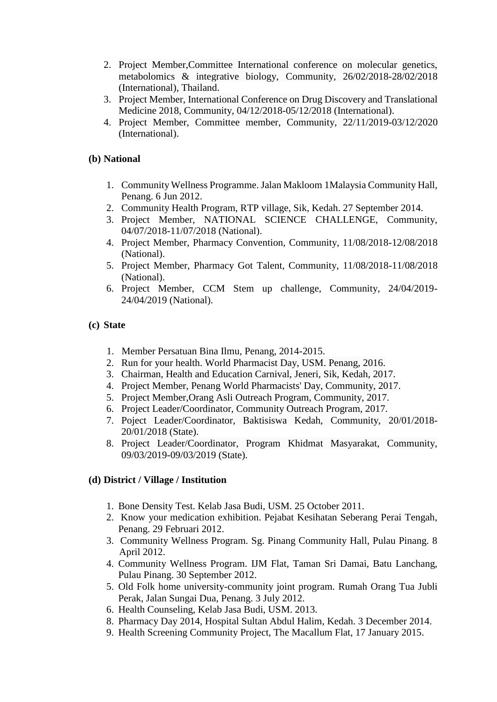- 2. [Project Member,Committee International conference on molecular genetics,](https://hcmsv3.usm.my/index.php/C_cie/M_cie_detail/NTExMzI3OA==)  [metabolomics & integrative biology, Community, 26/02/2018-28/02/2018](https://hcmsv3.usm.my/index.php/C_cie/M_cie_detail/NTExMzI3OA==)  [\(International\),](https://hcmsv3.usm.my/index.php/C_cie/M_cie_detail/NTExMzI3OA==) Thailand.
- 3. [Project Member, International Conference on Drug Discovery and Translational](https://hcmsv3.usm.my/index.php/C_cie/M_cie_detail/NTExMzI2MQ==)  [Medicine 2018, Community, 04/12/2018-05/12/2018 \(International\).](https://hcmsv3.usm.my/index.php/C_cie/M_cie_detail/NTExMzI2MQ==)
- 4. [Project Member, Committee member, Community, 22/11/2019-03/12/2020](https://hcmsv3.usm.my/index.php/C_cie/M_cie_detail/NTEyNDY0OQ==)  [\(International\).](https://hcmsv3.usm.my/index.php/C_cie/M_cie_detail/NTEyNDY0OQ==)

### **(b) National**

- 1. Community Wellness Programme. Jalan Makloom 1Malaysia Community Hall, Penang. 6 Jun 2012.
- 2. Community Health Program, RTP village, Sik, Kedah. 27 September 2014.
- 3. [Project Member, NATIONAL SCIENCE CHALLENGE, Community,](https://hcmsv3.usm.my/index.php/C_cie/M_cie_detail/NTExMzI2OQ==)  [04/07/2018-11/07/2018 \(National\).](https://hcmsv3.usm.my/index.php/C_cie/M_cie_detail/NTExMzI2OQ==)
- 4. [Project Member, Pharmacy Convention, Community, 11/08/2018-12/08/2018](https://hcmsv3.usm.my/index.php/C_cie/M_cie_detail/NTExMzI1MA==)  [\(National\).](https://hcmsv3.usm.my/index.php/C_cie/M_cie_detail/NTExMzI1MA==)
- 5. [Project Member, Pharmacy Got Talent, Community, 11/08/2018-11/08/2018](https://hcmsv3.usm.my/index.php/C_cie/M_cie_detail/NTExMzI0OQ==)  [\(National\).](https://hcmsv3.usm.my/index.php/C_cie/M_cie_detail/NTExMzI0OQ==)
- 6. [Project Member, CCM Stem up challenge, Community, 24/04/2019-](https://hcmsv3.usm.my/index.php/C_cie/M_cie_detail/NTEyOTI4NQ==) [24/04/2019 \(National\).](https://hcmsv3.usm.my/index.php/C_cie/M_cie_detail/NTEyOTI4NQ==)

### **(c) State**

- 1. Member Persatuan Bina Ilmu, Penang, 2014-2015.
- 2. Run for your health. World Pharmacist Day, USM. Penang, 2016.
- 3. Chairman, Health and Education Carnival, Jeneri, Sik, Kedah, 2017.
- 4. Project Member, Penang World Pharmacists' Day, Community, 2017.
- 5. Project Member,Orang Asli Outreach Program, Community, 2017.
- 6. Project Leader/Coordinator, Community Outreach Program, 2017.
- 7. [Poject Leader/Coordinator, Baktisiswa Kedah, Community,](https://hcmsv3.usm.my/index.php/C_cie/M_cie_detail/NTExMzI4NQ==) 20/01/2018- [20/01/2018 \(State\).](https://hcmsv3.usm.my/index.php/C_cie/M_cie_detail/NTExMzI4NQ==)
- 8. [Project Leader/Coordinator, Program Khidmat Masyarakat, Community,](https://hcmsv3.usm.my/index.php/C_cie/M_cie_detail/NTEyNDY4Ng==)  [09/03/2019-09/03/2019 \(State\).](https://hcmsv3.usm.my/index.php/C_cie/M_cie_detail/NTEyNDY4Ng==)

## **(d) District / Village / Institution**

- 1. Bone Density Test. Kelab Jasa Budi, USM. 25 October 2011.
- 2. Know your medication exhibition. Pejabat Kesihatan Seberang Perai Tengah, Penang. 29 Februari 2012.
- 3. Community Wellness Program. Sg. Pinang Community Hall, Pulau Pinang. 8 April 2012.
- 4. Community Wellness Program. IJM Flat, Taman Sri Damai, Batu Lanchang, Pulau Pinang. 30 September 2012.
- 5. Old Folk home university-community joint program. Rumah Orang Tua Jubli Perak, Jalan Sungai Dua, Penang. 3 July 2012.
- 6. Health Counseling, Kelab Jasa Budi, USM. 2013.
- 8. Pharmacy Day 2014, Hospital Sultan Abdul Halim, Kedah. 3 December 2014.
- 9. Health Screening Community Project, The Macallum Flat, 17 January 2015.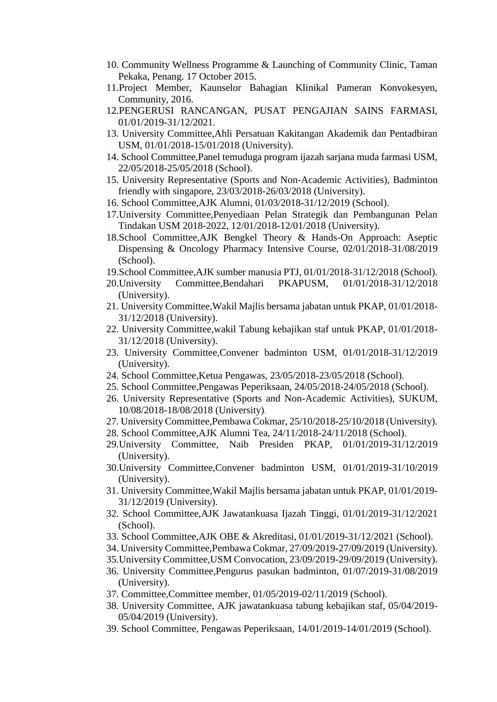- 10. Community Wellness Programme & Launching of Community Clinic, Taman Pekaka, Penang. 17 October 2015.
- 11.Project Member, Kaunselor Bahagian Klinikal Pameran Konvokesyen, Community, 2016.
- 12.PENGERUSI RANCANGAN, PUSAT PENGAJIAN SAINS FARMASI, 01/01/2019-31/12/2021.
- 13. [University Committee,Ahli Persatuan Kakitangan Akademik dan Pentadbiran](https://hcmsv3.usm.my/index.php/C_ServiceUniv/ServiceUnivCommDetail/NTA5MDE2MA==)  [USM, 01/01/2018-15/01/2018 \(University\).](https://hcmsv3.usm.my/index.php/C_ServiceUniv/ServiceUnivCommDetail/NTA5MDE2MA==)
- 14. [School Committee,Panel temuduga program ijazah sarjana muda farmasi USM,](https://hcmsv3.usm.my/index.php/C_ServiceUniv/ServiceUnivCommDetail/NTExMzI3Nw==)  [22/05/2018-25/05/2018 \(School\).](https://hcmsv3.usm.my/index.php/C_ServiceUniv/ServiceUnivCommDetail/NTExMzI3Nw==)
- 15. [University Representative \(Sports and Non-Academic Activities\), Badminton](https://hcmsv3.usm.my/index.php/C_ServiceUniv/ServiceUnivCommDetail/NTExMzI4MA==)  [friendly with singapore, 23/03/2018-26/03/2018 \(University\).](https://hcmsv3.usm.my/index.php/C_ServiceUniv/ServiceUnivCommDetail/NTExMzI4MA==)
- 16. [School Committee,AJK Alumni, 01/03/2018-31/12/2019 \(School\).](https://hcmsv3.usm.my/index.php/C_ServiceUniv/ServiceUnivCommDetail/NTExMzI3OQ==)
- 17[.University Committee,Penyediaan Pelan Strategik dan Pembangunan Pelan](https://hcmsv3.usm.my/index.php/C_ServiceUniv/ServiceUnivCommDetail/NTExMzI3MA==)  [Tindakan USM 2018-2022, 12/01/2018-12/01/2018 \(University\).](https://hcmsv3.usm.my/index.php/C_ServiceUniv/ServiceUnivCommDetail/NTExMzI3MA==)
- 18[.School Committee,AJK Bengkel Theory & Hands-On Approach: Aseptic](https://hcmsv3.usm.my/index.php/C_ServiceUniv/ServiceUnivCommDetail/NTExMzI3MQ==)  [Dispensing & Oncology Pharmacy Intensive Course, 02/01/2018-31/08/2019](https://hcmsv3.usm.my/index.php/C_ServiceUniv/ServiceUnivCommDetail/NTExMzI3MQ==)  [\(School\).](https://hcmsv3.usm.my/index.php/C_ServiceUniv/ServiceUnivCommDetail/NTExMzI3MQ==)
- 19[.School Committee,AJK sumber manusia PTJ, 01/01/2018-31/12/2018 \(School\).](https://hcmsv3.usm.my/index.php/C_ServiceUniv/ServiceUnivCommDetail/NTExMzI4Ng==)
- 20[.University Committee,Bendahari PKAPUSM, 01/01/2018-31/12/2018](https://hcmsv3.usm.my/index.php/C_ServiceUniv/ServiceUnivCommDetail/NTExMzI4MQ==)  [\(University\).](https://hcmsv3.usm.my/index.php/C_ServiceUniv/ServiceUnivCommDetail/NTExMzI4MQ==)
- 21. [University Committee,Wakil Majlis bersama jabatan untuk PKAP, 01/01/2018-](https://hcmsv3.usm.my/index.php/C_ServiceUniv/ServiceUnivCommDetail/NTExMzI4Mg==) [31/12/2018 \(University\).](https://hcmsv3.usm.my/index.php/C_ServiceUniv/ServiceUnivCommDetail/NTExMzI4Mg==)
- 22. [University Committee,wakil Tabung kebajikan staf untuk PKAP, 01/01/2018-](https://hcmsv3.usm.my/index.php/C_ServiceUniv/ServiceUnivCommDetail/NTExMzI4Mw==) [31/12/2018 \(University\).](https://hcmsv3.usm.my/index.php/C_ServiceUniv/ServiceUnivCommDetail/NTExMzI4Mw==)
- 23. [University Committee,Convener badminton USM, 01/01/2018-31/12/2019](https://hcmsv3.usm.my/index.php/C_ServiceUniv/ServiceUnivCommDetail/NTExMzM3Mw==)  [\(University\).](https://hcmsv3.usm.my/index.php/C_ServiceUniv/ServiceUnivCommDetail/NTExMzM3Mw==)
- 24. [School Committee,Ketua Pengawas, 23/05/2018-23/05/2018 \(School\).](https://hcmsv3.usm.my/index.php/C_ServiceUniv/ServiceUnivCommDetail/NTExMzI3NA==)
- 25. [School Committee,Pengawas Peperiksaan, 24/05/2018-24/05/2018 \(School\).](https://hcmsv3.usm.my/index.php/C_ServiceUniv/ServiceUnivCommDetail/NTExMzI3Mw==)
- 26. [University Representative \(Sports and Non-Academic Activities\), SUKUM,](https://hcmsv3.usm.my/index.php/C_ServiceUniv/ServiceUnivCommDetail/NTExMzI5MQ==)  [10/08/2018-18/08/2018 \(University\)](https://hcmsv3.usm.my/index.php/C_ServiceUniv/ServiceUnivCommDetail/NTExMzI5MQ==).
- 27. [University Committee,Pembawa Cokmar, 25/10/2018-25/10/2018 \(University\).](https://hcmsv3.usm.my/index.php/C_ServiceUniv/ServiceUnivCommDetail/NTExMzI0NA==)
- 28. [School Committee,AJK Alumni Tea, 24/11/2018-24/11/2018 \(School\).](https://hcmsv3.usm.my/index.php/C_ServiceUniv/ServiceUnivCommDetail/NTExMzI3Mg==)
- 29[.University Committee, Naib Presiden PKAP, 01/01/2019-31/12/2019](https://hcmsv3.usm.my/index.php/C_ServiceUniv/ServiceUnivCommDetail/NTEyNDY2Nw==)  [\(University\).](https://hcmsv3.usm.my/index.php/C_ServiceUniv/ServiceUnivCommDetail/NTEyNDY2Nw==)
- 30[.University Committee,Convener badminton USM, 01/01/2019-31/10/2019](https://hcmsv3.usm.my/index.php/C_ServiceUniv/ServiceUnivCommDetail/NTEyNDY4Mw==)  [\(University\).](https://hcmsv3.usm.my/index.php/C_ServiceUniv/ServiceUnivCommDetail/NTEyNDY4Mw==)
- 31. [University Committee,Wakil Majlis bersama jabatan untuk PKAP, 01/01/2019-](https://hcmsv3.usm.my/index.php/C_ServiceUniv/ServiceUnivCommDetail/NTEyNDY4MA==) [31/12/2019 \(University\).](https://hcmsv3.usm.my/index.php/C_ServiceUniv/ServiceUnivCommDetail/NTEyNDY4MA==)
- 32. [School Committee,AJK Jawatankuasa Ijazah Tinggi, 01/01/2019-31/12/2021](https://hcmsv3.usm.my/index.php/C_ServiceUniv/ServiceUnivCommDetail/NTEyNDY4Mg==)  [\(School\).](https://hcmsv3.usm.my/index.php/C_ServiceUniv/ServiceUnivCommDetail/NTEyNDY4Mg==)
- 33. [School Committee,AJK OBE & Akreditasi, 01/01/2019-31/12/2021 \(School\).](https://hcmsv3.usm.my/index.php/C_ServiceUniv/ServiceUnivCommDetail/NTEyNDY4MQ==)
- 34. [University Committee,Pembawa Cokmar, 27/09/2019-27/09/2019 \(University\).](https://hcmsv3.usm.my/index.php/C_ServiceUniv/ServiceUnivCommDetail/NTEyNDY1Ng==)
- 35[.University Committee,USM Convocation, 23/09/2019-29/09/2019 \(University\).](https://hcmsv3.usm.my/index.php/C_ServiceUniv/ServiceUnivCommDetail/NTEyNDY2OA==)
- 36. [University Committee,Pengurus pasukan badminton, 01/07/2019-31/08/2019](https://hcmsv3.usm.my/index.php/C_ServiceUniv/ServiceUnivCommDetail/NTEyNDY3NA==)  [\(University\).](https://hcmsv3.usm.my/index.php/C_ServiceUniv/ServiceUnivCommDetail/NTEyNDY3NA==)
- 37. [Committee,Committee member, 01/05/2019-02/11/2019 \(School\).](https://hcmsv3.usm.my/index.php/C_ServiceUniv/ServiceUnivCommDetail/NTEyNDY1Mg==)
- 38. [University Committee, AJK jawatankuasa tabung kebajikan staf, 05/04/2019-](https://hcmsv3.usm.my/index.php/C_ServiceUniv/ServiceUnivCommDetail/NTEyNDY3Ng==) [05/04/2019 \(University\).](https://hcmsv3.usm.my/index.php/C_ServiceUniv/ServiceUnivCommDetail/NTEyNDY3Ng==)
- 39. [School Committee, Pengawas Peperiksaan, 14/01/2019-14/01/2019 \(School\).](https://hcmsv3.usm.my/index.php/C_ServiceUniv/ServiceUnivCommDetail/NTExMzI3NQ==)